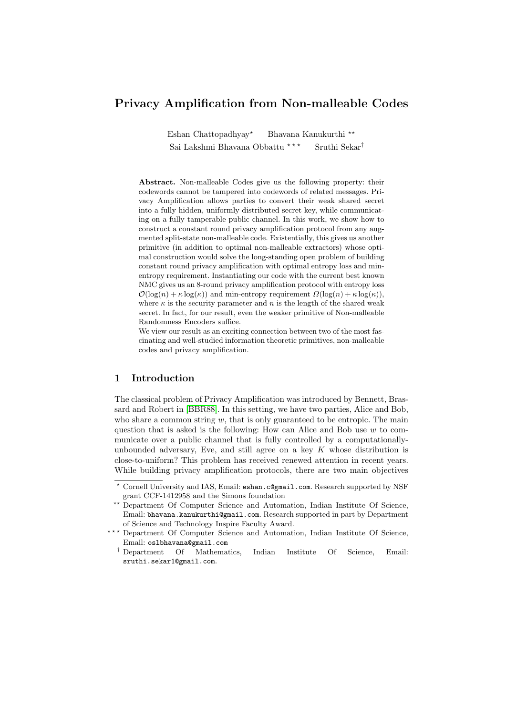# Privacy Amplification from Non-malleable Codes

Eshan Chattopadhyay<sup>\*</sup> Bhavana Kanukurthi \*\* Sai Lakshmi Bhavana Obbattu $^{\star\;\star\;\star}$  Sruthi Sekar†

Abstract. Non-malleable Codes give us the following property: their codewords cannot be tampered into codewords of related messages. Privacy Amplification allows parties to convert their weak shared secret into a fully hidden, uniformly distributed secret key, while communicating on a fully tamperable public channel. In this work, we show how to construct a constant round privacy amplification protocol from any augmented split-state non-malleable code. Existentially, this gives us another primitive (in addition to optimal non-malleable extractors) whose optimal construction would solve the long-standing open problem of building constant round privacy amplification with optimal entropy loss and minentropy requirement. Instantiating our code with the current best known NMC gives us an 8-round privacy amplification protocol with entropy loss  $\mathcal{O}(\log(n) + \kappa \log(\kappa))$  and min-entropy requirement  $\Omega(\log(n) + \kappa \log(\kappa))$ , where  $\kappa$  is the security parameter and n is the length of the shared weak secret. In fact, for our result, even the weaker primitive of Non-malleable Randomness Encoders suffice.

We view our result as an exciting connection between two of the most fascinating and well-studied information theoretic primitives, non-malleable codes and privacy amplification.

# 1 Introduction

The classical problem of Privacy Amplification was introduced by Bennett, Brassard and Robert in [\[BBR88\]](#page-34-0). In this setting, we have two parties, Alice and Bob, who share a common string  $w$ , that is only guaranteed to be entropic. The main question that is asked is the following: How can Alice and Bob use  $w$  to communicate over a public channel that is fully controlled by a computationallyunbounded adversary, Eve, and still agree on a key  $K$  whose distribution is close-to-uniform? This problem has received renewed attention in recent years. While building privacy amplification protocols, there are two main objectives

<sup>?</sup> Cornell University and IAS, Email: eshan.c@gmail.com. Research supported by NSF grant CCF-1412958 and the Simons foundation

<sup>\*\*</sup> Department Of Computer Science and Automation, Indian Institute Of Science, Email: bhavana.kanukurthi@gmail.com. Research supported in part by Department of Science and Technology Inspire Faculty Award.

<sup>\*\*\*</sup> Department Of Computer Science and Automation, Indian Institute Of Science, Email: oslbhavana@gmail.com

<sup>†</sup> Department Of Mathematics, Indian Institute Of Science, Email: sruthi.sekar1@gmail.com.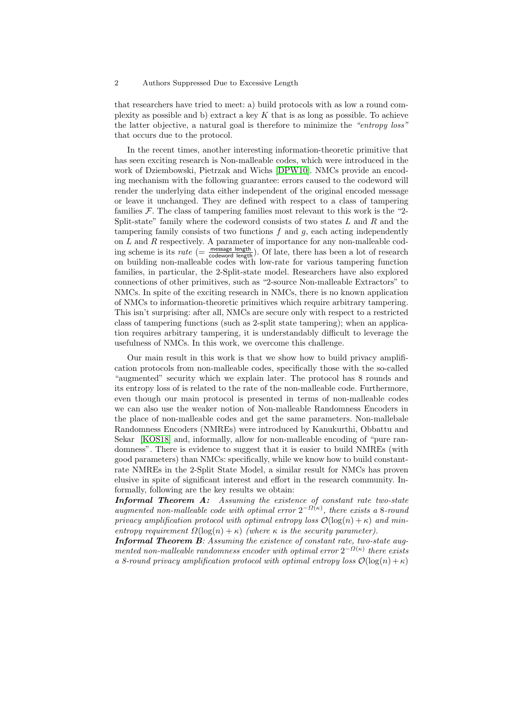that researchers have tried to meet: a) build protocols with as low a round complexity as possible and b) extract a key  $K$  that is as long as possible. To achieve the latter objective, a natural goal is therefore to minimize the "entropy loss" that occurs due to the protocol.

In the recent times, another interesting information-theoretic primitive that has seen exciting research is Non-malleable codes, which were introduced in the work of Dziembowski, Pietrzak and Wichs [\[DPW10\]](#page-35-0). NMCs provide an encoding mechanism with the following guarantee: errors caused to the codeword will render the underlying data either independent of the original encoded message or leave it unchanged. They are defined with respect to a class of tampering families  $\mathcal F$ . The class of tampering families most relevant to this work is the "2-Split-state" family where the codeword consists of two states  $L$  and  $R$  and the tampering family consists of two functions  $f$  and  $g$ , each acting independently on  $L$  and  $R$  respectively. A parameter of importance for any non-malleable coding scheme is its rate ( $=\frac{\text{message length}}{\text{codeword length}}$ ). Of late, there has been a lot of research on building non-malleable codes with low-rate for various tampering function families, in particular, the 2-Split-state model. Researchers have also explored connections of other primitives, such as "2-source Non-malleable Extractors" to NMCs. In spite of the exciting research in NMCs, there is no known application of NMCs to information-theoretic primitives which require arbitrary tampering. This isn't surprising: after all, NMCs are secure only with respect to a restricted class of tampering functions (such as 2-split state tampering); when an application requires arbitrary tampering, it is understandably difficult to leverage the usefulness of NMCs. In this work, we overcome this challenge.

Our main result in this work is that we show how to build privacy amplification protocols from non-malleable codes, specifically those with the so-called "augmented" security which we explain later. The protocol has 8 rounds and its entropy loss of is related to the rate of the non-malleable code. Furthermore, even though our main protocol is presented in terms of non-malleable codes we can also use the weaker notion of Non-malleable Randomness Encoders in the place of non-malleable codes and get the same parameters. Non-mallebale Randomness Encoders (NMREs) were introduced by Kanukurthi, Obbattu and Sekar [\[KOS18\]](#page-36-0) and, informally, allow for non-malleable encoding of "pure randomness". There is evidence to suggest that it is easier to build NMREs (with good parameters) than NMCs: specifically, while we know how to build constantrate NMREs in the 2-Split State Model, a similar result for NMCs has proven elusive in spite of significant interest and effort in the research community. Informally, following are the key results we obtain:

Informal Theorem A: Assuming the existence of constant rate two-state augmented non-malleable code with optimal error  $2^{-\Omega(\kappa)}$ , there exists a 8-round privacy amplification protocol with optimal entropy loss  $\mathcal{O}(\log(n) + \kappa)$  and minentropy requirement  $\Omega(\log(n) + \kappa)$  (where  $\kappa$  is the security parameter).

Informal Theorem B: Assuming the existence of constant rate, two-state augmented non-malleable randomness encoder with optimal error  $2^{-\Omega(\kappa)}$  there exists a 8-round privacy amplification protocol with optimal entropy loss  $\mathcal{O}(\log(n) + \kappa)$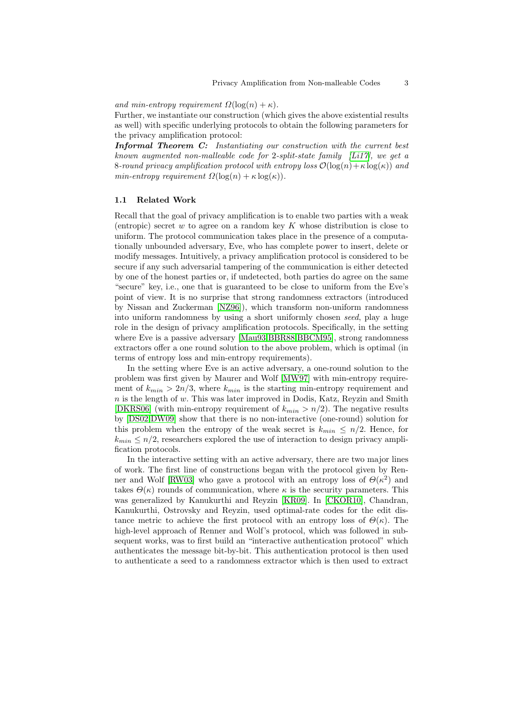and min-entropy requirement  $\Omega(\log(n) + \kappa)$ .

Further, we instantiate our construction (which gives the above existential results as well) with specific underlying protocols to obtain the following parameters for the privacy amplification protocol:

Informal Theorem C: Instantiating our construction with the current best known augmented non-malleable code for 2-split-state family  $[Li17]$ , we get a 8-round privacy amplification protocol with entropy loss  $\mathcal{O}(\log(n) + \kappa \log(\kappa))$  and min-entropy requirement  $\Omega(\log(n) + \kappa \log(\kappa)).$ 

### <span id="page-2-0"></span>1.1 Related Work

Recall that the goal of privacy amplification is to enable two parties with a weak (entropic) secret  $w$  to agree on a random key  $K$  whose distribution is close to uniform. The protocol communication takes place in the presence of a computationally unbounded adversary, Eve, who has complete power to insert, delete or modify messages. Intuitively, a privacy amplification protocol is considered to be secure if any such adversarial tampering of the communication is either detected by one of the honest parties or, if undetected, both parties do agree on the same "secure" key, i.e., one that is guaranteed to be close to uniform from the Eve's point of view. It is no surprise that strong randomness extractors (introduced by Nissan and Zuckerman [\[NZ96\]](#page-36-2)), which transform non-uniform randomness into uniform randomness by using a short uniformly chosen seed, play a huge role in the design of privacy amplification protocols. Specifically, in the setting where Eve is a passive adversary [\[Mau93,](#page-36-3)[BBR88,](#page-34-0)[BBCM95\]](#page-34-1), strong randomness extractors offer a one round solution to the above problem, which is optimal (in terms of entropy loss and min-entropy requirements).

In the setting where Eve is an active adversary, a one-round solution to the problem was first given by Maurer and Wolf [\[MW97\]](#page-36-4) with min-entropy requirement of  $k_{min} > 2n/3$ , where  $k_{min}$  is the starting min-entropy requirement and  $n$  is the length of  $w$ . This was later improved in Dodis, Katz, Reyzin and Smith [\[DKRS06\]](#page-35-1) (with min-entropy requirement of  $k_{min} > n/2$ ). The negative results by [\[DS02,](#page-35-2)[DW09\]](#page-35-3) show that there is no non-interactive (one-round) solution for this problem when the entropy of the weak secret is  $k_{min} \leq n/2$ . Hence, for  $k_{min} \leq n/2$ , researchers explored the use of interaction to design privacy amplification protocols.

In the interactive setting with an active adversary, there are two major lines of work. The first line of constructions began with the protocol given by Ren-ner and Wolf [\[RW03\]](#page-36-5) who gave a protocol with an entropy loss of  $\Theta(\kappa^2)$  and takes  $\Theta(\kappa)$  rounds of communication, where  $\kappa$  is the security parameters. This was generalized by Kanukurthi and Reyzin [\[KR09\]](#page-36-6). In [\[CKOR10\]](#page-34-2), Chandran, Kanukurthi, Ostrovsky and Reyzin, used optimal-rate codes for the edit distance metric to achieve the first protocol with an entropy loss of  $\Theta(\kappa)$ . The high-level approach of Renner and Wolf's protocol, which was followed in subsequent works, was to first build an "interactive authentication protocol" which authenticates the message bit-by-bit. This authentication protocol is then used to authenticate a seed to a randomness extractor which is then used to extract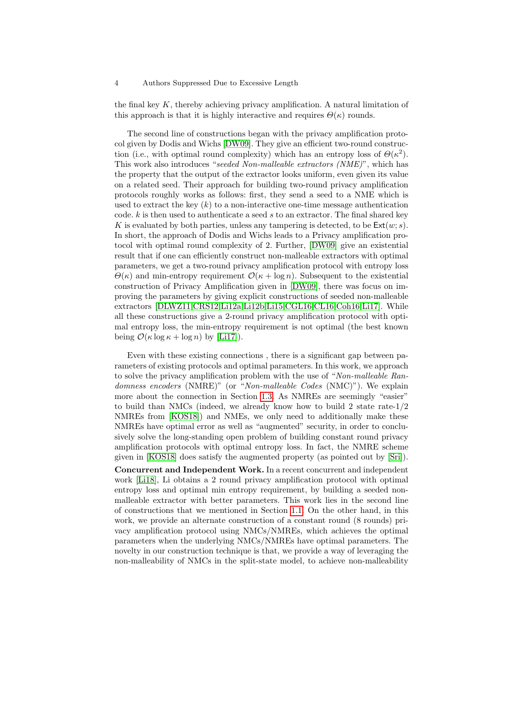the final key K, thereby achieving privacy amplification. A natural limitation of this approach is that it is highly interactive and requires  $\Theta(\kappa)$  rounds.

The second line of constructions began with the privacy amplification protocol given by Dodis and Wichs [\[DW09\]](#page-35-3). They give an efficient two-round construction (i.e., with optimal round complexity) which has an entropy loss of  $\Theta(\kappa^2)$ . This work also introduces "seeded Non-malleable extractors (NME)", which has the property that the output of the extractor looks uniform, even given its value on a related seed. Their approach for building two-round privacy amplification protocols roughly works as follows: first, they send a seed to a NME which is used to extract the key  $(k)$  to a non-interactive one-time message authentication code.  $k$  is then used to authenticate a seed  $s$  to an extractor. The final shared key K is evaluated by both parties, unless any tampering is detected, to be  $\text{Ext}(w; s)$ . In short, the approach of Dodis and Wichs leads to a Privacy amplification protocol with optimal round complexity of 2. Further, [\[DW09\]](#page-35-3) give an existential result that if one can efficiently construct non-malleable extractors with optimal parameters, we get a two-round privacy amplification protocol with entropy loss  $\Theta(\kappa)$  and min-entropy requirement  $\mathcal{O}(\kappa + \log n)$ . Subsequent to the existential construction of Privacy Amplification given in [\[DW09\]](#page-35-3), there was focus on improving the parameters by giving explicit constructions of seeded non-malleable extractors [\[DLWZ11](#page-35-4)[,CRS12,](#page-35-5)[Li12a,](#page-36-7)[Li12b,](#page-36-8)[Li15,](#page-36-9)[CGL16,](#page-34-3)[CL16,](#page-35-6)[Coh16](#page-35-7)[,Li17\]](#page-36-1). While all these constructions give a 2-round privacy amplification protocol with optimal entropy loss, the min-entropy requirement is not optimal (the best known being  $\mathcal{O}(\kappa \log \kappa + \log n)$  by [\[Li17\]](#page-36-1)).

Even with these existing connections , there is a significant gap between parameters of existing protocols and optimal parameters. In this work, we approach to solve the privacy amplification problem with the use of "Non-malleable Randomness encoders (NMRE)" (or "Non-malleable Codes (NMC)"). We explain more about the connection in Section [1.3.](#page-5-0) As NMREs are seemingly "easier" to build than NMCs (indeed, we already know how to build 2 state rate- $1/2$ NMREs from [\[KOS18\]](#page-36-0)) and NMEs, we only need to additionally make these NMREs have optimal error as well as "augmented" security, in order to conclusively solve the long-standing open problem of building constant round privacy amplification protocols with optimal entropy loss. In fact, the NMRE scheme given in [\[KOS18\]](#page-36-0) does satisfy the augmented property (as pointed out by [\[Sri\]](#page-36-10)). Concurrent and Independent Work. In a recent concurrent and independent work [\[Li18\]](#page-36-11), Li obtains a 2 round privacy amplification protocol with optimal entropy loss and optimal min entropy requirement, by building a seeded nonmalleable extractor with better parameters. This work lies in the second line of constructions that we mentioned in Section [1.1.](#page-2-0) On the other hand, in this work, we provide an alternate construction of a constant round (8 rounds) privacy amplification protocol using NMCs/NMREs, which achieves the optimal parameters when the underlying NMCs/NMREs have optimal parameters. The novelty in our construction technique is that, we provide a way of leveraging the

non-malleability of NMCs in the split-state model, to achieve non-malleability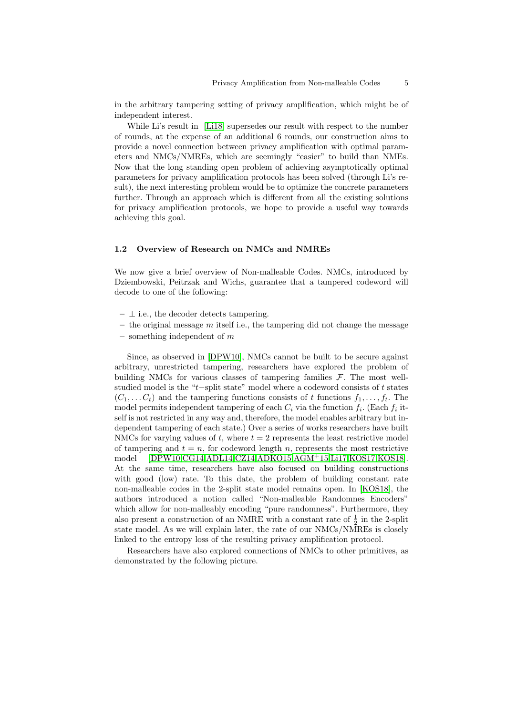in the arbitrary tampering setting of privacy amplification, which might be of independent interest.

While Li's result in [\[Li18\]](#page-36-11) supersedes our result with respect to the number of rounds, at the expense of an additional 6 rounds, our construction aims to provide a novel connection between privacy amplification with optimal parameters and NMCs/NMREs, which are seemingly "easier" to build than NMEs. Now that the long standing open problem of achieving asymptotically optimal parameters for privacy amplification protocols has been solved (through Li's result), the next interesting problem would be to optimize the concrete parameters further. Through an approach which is different from all the existing solutions for privacy amplification protocols, we hope to provide a useful way towards achieving this goal.

# 1.2 Overview of Research on NMCs and NMREs

We now give a brief overview of Non-malleable Codes. NMCs, introduced by Dziembowski, Peitrzak and Wichs, guarantee that a tampered codeword will decode to one of the following:

- $\perp$  i.e., the decoder detects tampering.
- $-$  the original message  $m$  itself i.e., the tampering did not change the message
- something independent of  $m$

Since, as observed in [\[DPW10\]](#page-35-0), NMCs cannot be built to be secure against arbitrary, unrestricted tampering, researchers have explored the problem of building NMCs for various classes of tampering families  $F$ . The most wellstudied model is the "t−split state" model where a codeword consists of t states  $(C_1, \ldots, C_t)$  and the tampering functions consists of t functions  $f_1, \ldots, f_t$ . The model permits independent tampering of each  $C_i$  via the function  $f_i$ . (Each  $f_i$  itself is not restricted in any way and, therefore, the model enables arbitrary but independent tampering of each state.) Over a series of works researchers have built NMCs for varying values of t, where  $t = 2$  represents the least restrictive model of tampering and  $t = n$ , for codeword length n, represents the most restrictive model [\[DPW10,](#page-35-0)[CG14,](#page-34-4)[ADL14,](#page-34-5)[CZ14,](#page-35-8)[ADKO15,](#page-34-6)[AGM](#page-34-7)+15[,Li17,](#page-36-1)[KOS17,](#page-36-12)[KOS18\]](#page-36-0). At the same time, researchers have also focused on building constructions with good (low) rate. To this date, the problem of building constant rate non-malleable codes in the 2-split state model remains open. In [\[KOS18\]](#page-36-0), the authors introduced a notion called "Non-malleable Randomnes Encoders" which allow for non-malleably encoding "pure randomness". Furthermore, they also present a construction of an NMRE with a constant rate of  $\frac{1}{2}$  in the 2-split state model. As we will explain later, the rate of our NMCs/NMREs is closely linked to the entropy loss of the resulting privacy amplification protocol.

Researchers have also explored connections of NMCs to other primitives, as demonstrated by the following picture.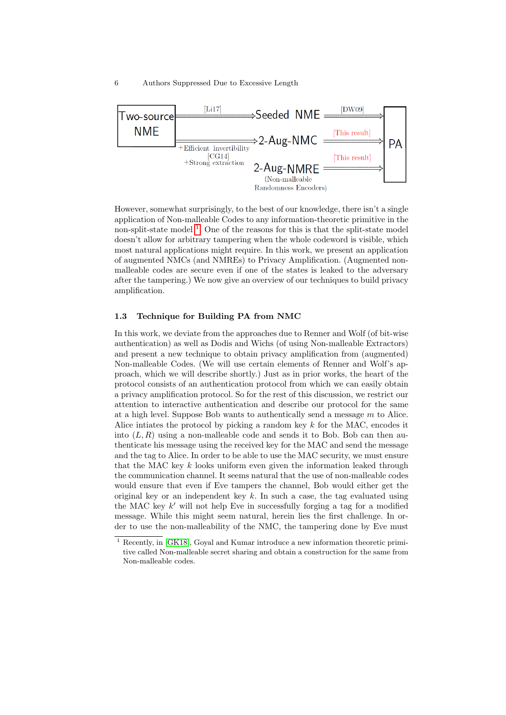

However, somewhat surprisingly, to the best of our knowledge, there isn't a single application of Non-malleable Codes to any information-theoretic primitive in the non-split-state model<sup>[1](#page-5-1)</sup>. One of the reasons for this is that the split-state model doesn't allow for arbitrary tampering when the whole codeword is visible, which most natural applications might require. In this work, we present an application of augmented NMCs (and NMREs) to Privacy Amplification. (Augmented nonmalleable codes are secure even if one of the states is leaked to the adversary after the tampering.) We now give an overview of our techniques to build privacy amplification.

### <span id="page-5-0"></span>1.3 Technique for Building PA from NMC

In this work, we deviate from the approaches due to Renner and Wolf (of bit-wise authentication) as well as Dodis and Wichs (of using Non-malleable Extractors) and present a new technique to obtain privacy amplification from (augmented) Non-malleable Codes. (We will use certain elements of Renner and Wolf's approach, which we will describe shortly.) Just as in prior works, the heart of the protocol consists of an authentication protocol from which we can easily obtain a privacy amplification protocol. So for the rest of this discussion, we restrict our attention to interactive authentication and describe our protocol for the same at a high level. Suppose Bob wants to authentically send a message m to Alice. Alice intiates the protocol by picking a random key  $k$  for the MAC, encodes it into  $(L, R)$  using a non-malleable code and sends it to Bob. Bob can then authenticate his message using the received key for the MAC and send the message and the tag to Alice. In order to be able to use the MAC security, we must ensure that the MAC key  $k$  looks uniform even given the information leaked through the communication channel. It seems natural that the use of non-malleable codes would ensure that even if Eve tampers the channel, Bob would either get the original key or an independent key  $k$ . In such a case, the tag evaluated using the MAC key  $k'$  will not help Eve in successfully forging a tag for a modified message. While this might seem natural, herein lies the first challenge. In order to use the non-malleability of the NMC, the tampering done by Eve must

<span id="page-5-1"></span><sup>1</sup> Recently, in [\[GK18\]](#page-35-9), Goyal and Kumar introduce a new information theoretic primitive called Non-malleable secret sharing and obtain a construction for the same from Non-malleable codes.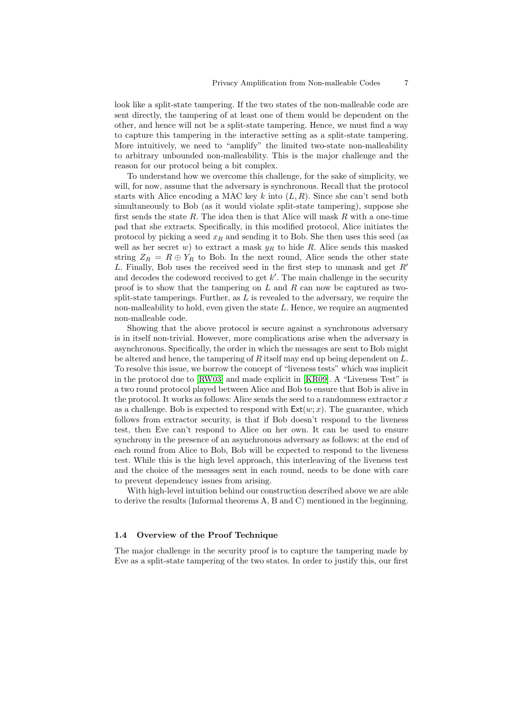look like a split-state tampering. If the two states of the non-malleable code are sent directly, the tampering of at least one of them would be dependent on the other, and hence will not be a split-state tampering. Hence, we must find a way to capture this tampering in the interactive setting as a split-state tampering. More intuitively, we need to "amplify" the limited two-state non-malleability to arbitrary unbounded non-malleability. This is the major challenge and the reason for our protocol being a bit complex.

To understand how we overcome this challenge, for the sake of simplicity, we will, for now, assume that the adversary is synchronous. Recall that the protocol starts with Alice encoding a MAC key k into  $(L, R)$ . Since she can't send both simultaneously to Bob (as it would violate split-state tampering), suppose she first sends the state R. The idea then is that Alice will mask R with a one-time pad that she extracts. Specifically, in this modified protocol, Alice initiates the protocol by picking a seed  $x_R$  and sending it to Bob. She then uses this seed (as well as her secret w) to extract a mask  $y_R$  to hide R. Alice sends this masked string  $Z_R = R \oplus Y_R$  to Bob. In the next round, Alice sends the other state L. Finally, Bob uses the received seed in the first step to unmask and get  $R'$ and decodes the codeword received to get  $k'$ . The main challenge in the security proof is to show that the tampering on  $L$  and  $R$  can now be captured as twosplit-state tamperings. Further, as  $L$  is revealed to the adversary, we require the non-malleability to hold, even given the state  $L$ . Hence, we require an augmented non-malleable code.

Showing that the above protocol is secure against a synchronous adversary is in itself non-trivial. However, more complications arise when the adversary is asynchronous. Specifically, the order in which the messages are sent to Bob might be altered and hence, the tampering of R itself may end up being dependent on  $L$ . To resolve this issue, we borrow the concept of "liveness tests" which was implicit in the protocol due to [\[RW03\]](#page-36-5) and made explicit in [\[KR09\]](#page-36-6). A "Liveness Test" is a two round protocol played between Alice and Bob to ensure that Bob is alive in the protocol. It works as follows: Alice sends the seed to a randomness extractor  $x$ as a challenge. Bob is expected to respond with  $Ext(w; x)$ . The guarantee, which follows from extractor security, is that if Bob doesn't respond to the liveness test, then Eve can't respond to Alice on her own. It can be used to ensure synchrony in the presence of an asynchronous adversary as follows: at the end of each round from Alice to Bob, Bob will be expected to respond to the liveness test. While this is the high level approach, this interleaving of the liveness test and the choice of the messages sent in each round, needs to be done with care to prevent dependency issues from arising.

With high-level intuition behind our construction described above we are able to derive the results (Informal theorems A, B and C) mentioned in the beginning.

### 1.4 Overview of the Proof Technique

The major challenge in the security proof is to capture the tampering made by Eve as a split-state tampering of the two states. In order to justify this, our first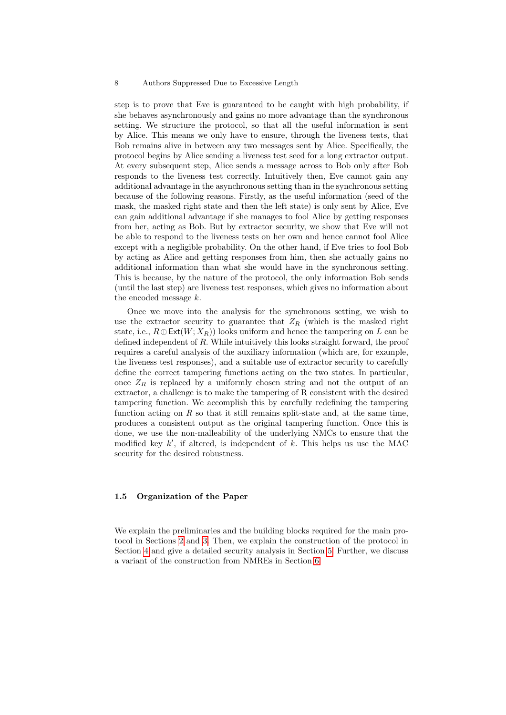step is to prove that Eve is guaranteed to be caught with high probability, if she behaves asynchronously and gains no more advantage than the synchronous setting. We structure the protocol, so that all the useful information is sent by Alice. This means we only have to ensure, through the liveness tests, that Bob remains alive in between any two messages sent by Alice. Specifically, the protocol begins by Alice sending a liveness test seed for a long extractor output. At every subsequent step, Alice sends a message across to Bob only after Bob responds to the liveness test correctly. Intuitively then, Eve cannot gain any additional advantage in the asynchronous setting than in the synchronous setting because of the following reasons. Firstly, as the useful information (seed of the mask, the masked right state and then the left state) is only sent by Alice, Eve can gain additional advantage if she manages to fool Alice by getting responses from her, acting as Bob. But by extractor security, we show that Eve will not be able to respond to the liveness tests on her own and hence cannot fool Alice except with a negligible probability. On the other hand, if Eve tries to fool Bob by acting as Alice and getting responses from him, then she actually gains no additional information than what she would have in the synchronous setting. This is because, by the nature of the protocol, the only information Bob sends (until the last step) are liveness test responses, which gives no information about the encoded message k.

Once we move into the analysis for the synchronous setting, we wish to use the extractor security to guarantee that  $Z_R$  (which is the masked right state, i.e.,  $R \oplus \text{Ext}(W; X_R)$  looks uniform and hence the tampering on L can be defined independent of R. While intuitively this looks straight forward, the proof requires a careful analysis of the auxiliary information (which are, for example, the liveness test responses), and a suitable use of extractor security to carefully define the correct tampering functions acting on the two states. In particular, once  $Z_R$  is replaced by a uniformly chosen string and not the output of an extractor, a challenge is to make the tampering of R consistent with the desired tampering function. We accomplish this by carefully redefining the tampering function acting on  $R$  so that it still remains split-state and, at the same time, produces a consistent output as the original tampering function. Once this is done, we use the non-malleability of the underlying NMCs to ensure that the modified key  $k'$ , if altered, is independent of  $k$ . This helps us use the MAC security for the desired robustness.

### 1.5 Organization of the Paper

We explain the preliminaries and the building blocks required for the main protocol in Sections [2](#page-8-0) and [3.](#page-14-0) Then, we explain the construction of the protocol in Section [4](#page-17-0) and give a detailed security analysis in Section [5.](#page-19-0) Further, we discuss a variant of the construction from NMREs in Section [6.](#page-33-0)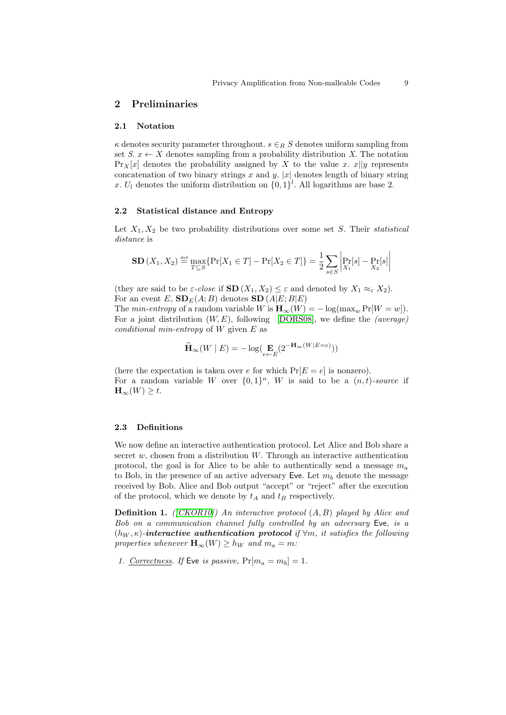### <span id="page-8-0"></span>2 Preliminaries

### 2.1 Notation

 $\kappa$  denotes security parameter throughout.  $s \in_R S$  denotes uniform sampling from set  $S, x \leftarrow X$  denotes sampling from a probability distribution X. The notation  $\Pr_{X}[x]$  denotes the probability assigned by X to the value x.  $x||y$  represents concatenation of two binary strings x and y. |x| denotes length of binary string x.  $U_l$  denotes the uniform distribution on  $\{0,1\}^l$ . All logarithms are base 2.

### 2.2 Statistical distance and Entropy

Let  $X_1, X_2$  be two probability distributions over some set S. Their statistical distance is

$$
\mathbf{SD}(X_1, X_2) \stackrel{\text{def}}{=} \max_{T \subseteq S} \{ \Pr[X_1 \in T] - \Pr[X_2 \in T] \} = \frac{1}{2} \sum_{s \in S} \left| \Pr[X_1[s] - \Pr[X_2[s]] \right|
$$

(they are said to be  $\varepsilon$ -close if  $SD(X_1, X_2) \leq \varepsilon$  and denoted by  $X_1 \approx_{\varepsilon} X_2$ ). For an event E,  $SD_E(A; B)$  denotes  $SD(A|E; B|E)$ 

The min-entropy of a random variable W is  $\mathbf{H}_{\infty}(W) = -\log(\max_{w} \Pr[W=w]).$ For a joint distribution  $(W, E)$ , following [\[DORS08\]](#page-35-10), we define the *(average)* conditional min-entropy of  $W$  given  $E$  as

$$
\widetilde{\mathbf{H}}_{\infty}(W \mid E) = -\log(\mathbf{E}_{e \leftarrow E}(2^{-\mathbf{H}_{\infty}(W \mid E = e)}))
$$

(here the expectation is taken over e for which  $Pr[E = e]$  is nonzero). For a random variable W over  $\{0,1\}^n$ , W is said to be a  $(n,t)$ -source if  $\mathbf{H}_{\infty}(W) \geq t.$ 

### 2.3 Definitions

We now define an interactive authentication protocol. Let Alice and Bob share a secret  $w$ , chosen from a distribution  $W$ . Through an interactive authentication protocol, the goal is for Alice to be able to authentically send a message  $m_a$ to Bob, in the presence of an active adversary Eve. Let  $m_b$  denote the message received by Bob. Alice and Bob output "accept" or "reject" after the execution of the protocol, which we denote by  $t_A$  and  $t_B$  respectively.

**Definition 1.** ([\[CKOR10\]](#page-34-2)) An interactive protocol  $(A, B)$  played by Alice and Bob on a communication channel fully controlled by an adversary Eve, is a  $(h_W, \kappa)$ -interactive authentication protocol if  $\forall m$ , it satisfies the following properties whenever  $\mathbf{H}_{\infty}(W) \geq h_W$  and  $m_a = m$ :

1. Correctness. If Eve is passive,  $Pr[m_a = m_b] = 1$ .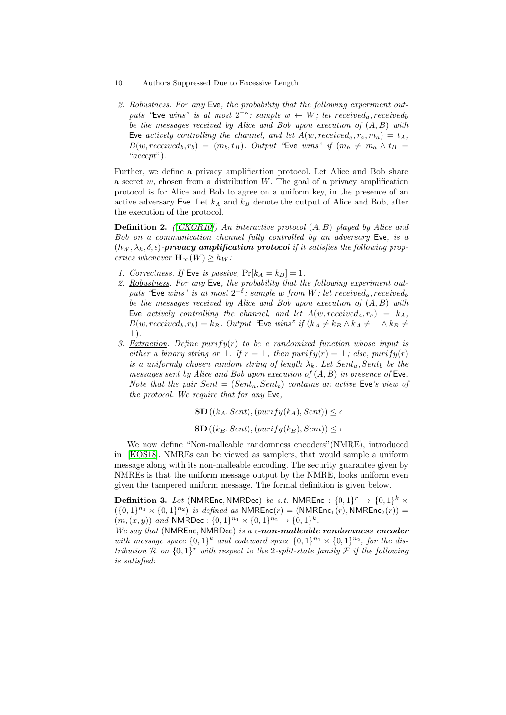- 10 Authors Suppressed Due to Excessive Length
- 2. Robustness. For any Eve, the probability that the following experiment outputs "Eve wins" is at most  $2^{-\kappa}$ : sample  $w \leftarrow W$ ; let received<sub>a</sub>, received<sub>b</sub> be the messages received by Alice and Bob upon execution of  $(A, B)$  with Eve actively controlling the channel, and let  $A(w, received_a, r_a, m_a) = t_A$ ,  $B(w, received_b, r_b) = (m_b, t_B)$ . Output "Eve wins" if  $(m_b \neq m_a \wedge t_B =$ "accept").

Further, we define a privacy amplification protocol. Let Alice and Bob share a secret  $w$ , chosen from a distribution  $W$ . The goal of a privacy amplification protocol is for Alice and Bob to agree on a uniform key, in the presence of an active adversary Eve. Let  $k_A$  and  $k_B$  denote the output of Alice and Bob, after the execution of the protocol.

**Definition 2.** ( $|CKOR10|$ ) An interactive protocol  $(A, B)$  played by Alice and Bob on a communication channel fully controlled by an adversary Eve, is a  $(h_W, \lambda_k, \delta, \epsilon)$ -**privacy amplification protocol** if it satisfies the following properties whenever  $\mathbf{H}_{\infty}(W) \geq h_W$ :

- 1. Correctness. If Eve is passive,  $Pr[k_A = k_B] = 1$ .
- 2. Robustness. For any Eve, the probability that the following experiment outputs "Eve wins" is at most  $2^{-\delta}$ : sample w from W; let received<sub>a</sub>, received<sub>b</sub> be the messages received by Alice and Bob upon execution of  $(A, B)$  with Eve actively controlling the channel, and let  $A(w, received_a, r_a) = k_A$ ,  $B(w, received_b, r_b) = k_B$ . Output "Eve wins" if  $(k_A \neq k_B \land k_A \neq \perp \land k_B \neq \perp)$ ⊥).
- 3. Extraction. Define purify(r) to be a randomized function whose input is either a binary string or  $\bot$ . If  $r = \bot$ , then purify(r) =  $\bot$ ; else, purify(r) is a uniformly chosen random string of length  $\lambda_k$ . Let  $Sent_a, Sent_b$  be the messages sent by Alice and Bob upon execution of  $(A, B)$  in presence of Eve. Note that the pair  $Sent = (Sent_a, Sent_b)$  contains an active Eve's view of the protocol. We require that for any Eve,

 $\textbf{SD}((k_A, Sent),(purity(k_A), Sent)) \leq \epsilon$ 

 $SD((k_B, Sent),(purity(k_B), Sent)) \leq \epsilon$ 

We now define "Non-malleable randomness encoders"(NMRE), introduced in [\[KOS18\]](#page-36-0). NMREs can be viewed as samplers, that would sample a uniform message along with its non-malleable encoding. The security guarantee given by NMREs is that the uniform message output by the NMRE, looks uniform even given the tampered uniform message. The formal definition is given below.

**Definition 3.** Let (NMREnc, NMRDec) be s.t. NMREnc :  $\{0,1\}^r \rightarrow \{0,1\}^k \times$  $( {0,1}^{n_1} \times {0,1}^{n_2} )$  is defined as NMREnc $(r) = (NMREnc_1(r), NMREnc_2(r))$  $(m,(x,y))$  and NMRDec:  $\{0,1\}^{n_1} \times \{0,1\}^{n_2} \rightarrow \{0,1\}^k$ .

We say that (NMREnc, NMRDec) is a  $\epsilon$ -non-malleable randomness encoder with message space  $\{0,1\}^k$  and codeword space  $\{0,1\}^{n_1} \times \{0,1\}^{n_2}$ , for the distribution R on  $\{0,1\}^r$  with respect to the 2-split-state family F if the following is satisfied: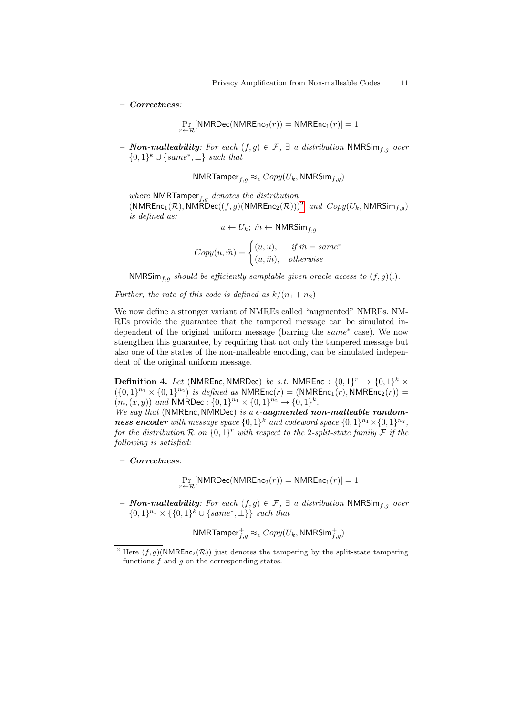– Correctness:

$$
\Pr_{r \leftarrow \mathcal{R}}[\mathsf{NMRDec}(\mathsf{NMREnc}_2(r)) = \mathsf{NMREnc}_1(r)] = 1
$$

– **Non-malleability**: For each  $(f, g) \in \mathcal{F}$ , ∃ a distribution NMRSim<sub>f,q</sub> over  $\{0,1\}^k \cup \{same^*, \perp\}$  such that

NMRTamper $_{f,g} \approx_{\epsilon} Copy(U_k, \text{NMRSim}_{f,g})$ 

where NMRTamper $_{f,g}$  denotes the distribution  $(NMREnc_1(\mathcal{R}), NMRDec((f,g)(NMREnc_2(\mathcal{R})))^2$  $(NMREnc_1(\mathcal{R}), NMRDec((f,g)(NMREnc_2(\mathcal{R})))^2$  $(NMREnc_1(\mathcal{R}), NMRDec((f,g)(NMREnc_2(\mathcal{R})))^2$  and  $Copy(U_k, NMRSim_{f,g})$ is defined as:

$$
u \leftarrow U_k; \ \tilde{m} \leftarrow \mathsf{NMRSim}_{f,g}
$$

$$
Copy(u, \tilde{m}) = \begin{cases} (u, u), & if \ \tilde{m} = same^* \\ (u, \tilde{m}), & otherwise \end{cases}
$$

NMRSim<sub>f,g</sub> should be efficiently samplable given oracle access to  $(f, g)(.)$ .

Further, the rate of this code is defined as  $k/(n_1 + n_2)$ 

We now define a stronger variant of NMREs called "augmented" NMREs. NM-REs provide the guarantee that the tampered message can be simulated independent of the original uniform message (barring the same<sup>∗</sup> case). We now strengthen this guarantee, by requiring that not only the tampered message but also one of the states of the non-malleable encoding, can be simulated independent of the original uniform message.

**Definition 4.** Let (NMREnc, NMRDec) be s.t. NMREnc :  $\{0,1\}^r \rightarrow \{0,1\}^k \times$  $( {0,1}^{n_1} \times {0,1}^{n_2} )$  is defined as NMREnc $(r) = (NMREnc_1(r), NMREnc_2(r)) =$  $(m,(x,y))$  and NMRDec:  $\{0,1\}^{n_1} \times \{0,1\}^{n_2} \rightarrow \{0,1\}^k$ .

We say that (NMREnc, NMRDec) is a  $\epsilon$ -augmented non-malleable randomness encoder with message space  $\{0,1\}^k$  and codeword space  $\{0,1\}^{n_1} \times \{0,1\}^{n_2}$ , for the distribution R on  $\{0,1\}^r$  with respect to the 2-split-state family F if the following is satisfied:

– Correctness:

 $\Pr_{r \leftarrow \mathcal{R}} \left[ \mathsf{NMRDec}(\mathsf{NMREnc}_2(r)) = \mathsf{NMREnc}_1(r) \right] = 1$ 

– **Non-malleability**: For each  $(f, g) \in \mathcal{F}$ , ∃ a distribution NMRSim<sub>f,g</sub> over  $\{0,1\}^{n_1} \times \{\{0,1\}^k \cup \{same^*, \perp\}\}\; such\; that$ 

 $\mathsf{NMRTamper}^+_{f,g} \approx_{\epsilon} \mathit{Copy}(U_k, \mathsf{NMRSim}^+_{f,g})$ 

<span id="page-10-0"></span><sup>&</sup>lt;sup>2</sup> Here  $(f, g)$ (NMREnc<sub>2</sub>(R)) just denotes the tampering by the split-state tampering functions  $f$  and  $g$  on the corresponding states.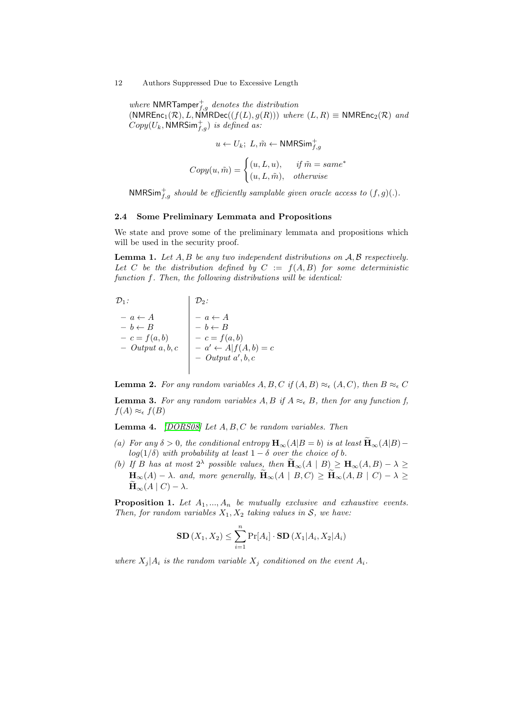where NMRTamper<sup>+</sup><sub>f,g</sub> denotes the distribution  $(NMREnc_1(\mathcal{R}), L, \text{NMRDec}((f(L), g(R)))$  where  $(L, R) \equiv \text{NMREnc}_2(\mathcal{R})$  and  $Copy(U_k, \text{NMRSim}^+_{f,g})$  is defined as:

$$
u \leftarrow U_k; \ L, \tilde{m} \leftarrow \text{NMRSim}_{f,g}^+
$$

$$
Copy(u, \tilde{m}) = \begin{cases} (u, L, u), & \text{if } \tilde{m} = same^* \\ (u, L, \tilde{m}), & \text{otherwise} \end{cases}
$$

NMRSim<sup>+</sup><sub>f,g</sub> should be efficiently samplable given oracle access to  $(f, g)(.)$ .

### 2.4 Some Preliminary Lemmata and Propositions

We state and prove some of the preliminary lemmata and propositions which will be used in the security proof.

**Lemma 1.** Let  $A, B$  be any two independent distributions on  $A, B$  respectively. Let C be the distribution defined by  $C := f(A, B)$  for some deterministic function f. Then, the following distributions will be identical:

$$
\begin{array}{ccc}\n\mathcal{D}_1: & & \mathcal{D}_2: \\
-\mathbf{a} \leftarrow A & -\mathbf{b} \leftarrow B & -\mathbf{c} = f(\mathbf{a}, \mathbf{b}) & -\mathbf{0} \text{trp} \mathbf{u} \mathbf{a}, \mathbf{b}, \mathbf{c} & -\mathbf{0} \text{trp} \mathbf{u} \mathbf{a}, \mathbf{b}, \mathbf{c} & -\mathbf{0} \text{trp} \mathbf{u} \mathbf{a}', \mathbf{b}, \mathbf{c} \\
\hline\n\end{array}
$$

**Lemma 2.** For any random variables  $A, B, C$  if  $(A, B) \approx_{\epsilon} (A, C)$ , then  $B \approx_{\epsilon} C$ 

<span id="page-11-1"></span>**Lemma 3.** For any random variables A, B if  $A \approx_{\epsilon} B$ , then for any function f,  $f(A) \approx_{\epsilon} f(B)$ 

<span id="page-11-0"></span>**Lemma 4.** [\[DORS08\]](#page-35-10) Let  $A, B, C$  be random variables. Then

- (a) For any  $\delta > 0$ , the conditional entropy  $\mathbf{H}_{\infty}(A|B = b)$  is at least  $\widetilde{\mathbf{H}}_{\infty}(A|B)$  log(1/ $\delta$ ) with probability at least 1 –  $\delta$  over the choice of b.
- (b) If B has at most  $2^{\lambda}$  possible values, then  $\widetilde{H}_{\infty}(A | B) \geq H_{\infty}(A, B) \lambda \geq$  $\mathbf{H}_{\infty}(A) - \lambda$  and, more generally,  $\widetilde{\mathbf{H}}_{\infty}(A \mid B, C) \ge \widetilde{\mathbf{H}}_{\infty}(A, B \mid C) - \lambda \ge$  $\widetilde{\mathbf{H}}_{\infty}(A \mid C) - \lambda.$

<span id="page-11-2"></span>**Proposition 1.** Let  $A_1, ..., A_n$  be mutually exclusive and exhaustive events. Then, for random variables  $X_1, X_2$  taking values in S, we have:

$$
\mathbf{SD}(X_1, X_2) \leq \sum_{i=1}^n \Pr[A_i] \cdot \mathbf{SD}(X_1 | A_i, X_2 | A_i)
$$

where  $X_j | A_i$  is the random variable  $X_j$  conditioned on the event  $A_i$ .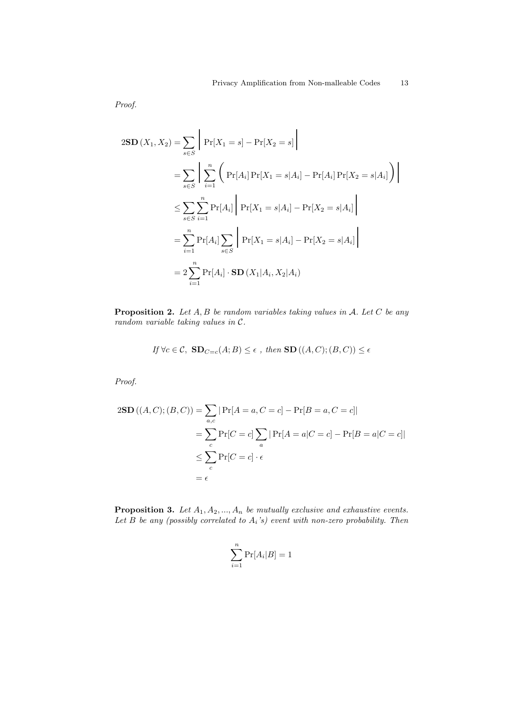Proof.

$$
2\mathbf{SD}(X_1, X_2) = \sum_{s \in S} \left| \Pr[X_1 = s] - \Pr[X_2 = s] \right|
$$
  
= 
$$
\sum_{s \in S} \left| \sum_{i=1}^n \left( \Pr[A_i] \Pr[X_1 = s | A_i] - \Pr[A_i] \Pr[X_2 = s | A_i] \right) \right|
$$
  

$$
\leq \sum_{s \in S} \sum_{i=1}^n \Pr[A_i] \left| \Pr[X_1 = s | A_i] - \Pr[X_2 = s | A_i] \right|
$$
  
= 
$$
\sum_{i=1}^n \Pr[A_i] \sum_{s \in S} \left| \Pr[X_1 = s | A_i] - \Pr[X_2 = s | A_i] \right|
$$
  
= 
$$
2 \sum_{i=1}^n \Pr[A_i] \cdot \mathbf{SD}(X_1 | A_i, X_2 | A_i)
$$

<span id="page-12-0"></span>**Proposition 2.** Let  $A, B$  be random variables taking values in  $A$ . Let  $C$  be any random variable taking values in C.

If 
$$
\forall c \in C
$$
,  $\mathbf{SD}_{C=c}(A;B) \leq \epsilon$ , then  $\mathbf{SD}((A,C); (B,C)) \leq \epsilon$ 

Proof.

$$
2\mathbf{SD}((A, C); (B, C)) = \sum_{a,c} |\Pr[A = a, C = c] - \Pr[B = a, C = c]|
$$
  
= 
$$
\sum_{c} \Pr[C = c] \sum_{a} |\Pr[A = a|C = c] - \Pr[B = a|C = c]|
$$
  

$$
\leq \sum_{c} \Pr[C = c] \cdot \epsilon
$$
  
= 
$$
\epsilon
$$

**Proposition 3.** Let  $A_1, A_2, ..., A_n$  be mutually exclusive and exhaustive events. Let B be any (possibly correlated to  $A_i$ 's) event with non-zero probability. Then

$$
\sum_{i=1}^{n} \Pr[A_i|B] = 1
$$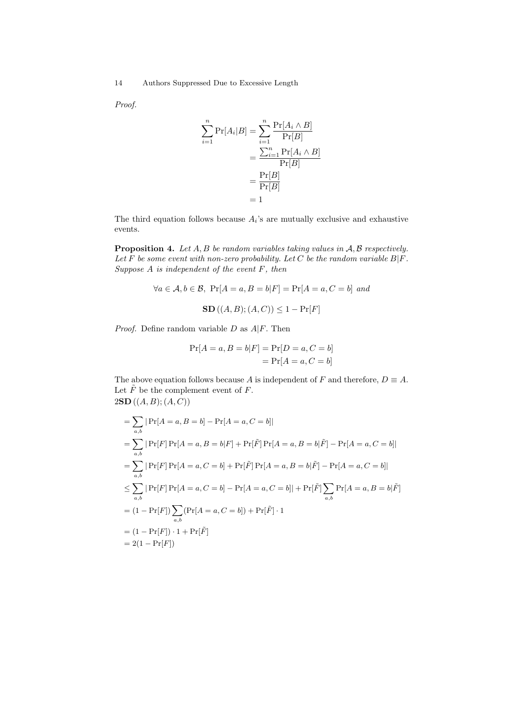Proof.

$$
\sum_{i=1}^{n} \Pr[A_i | B] = \sum_{i=1}^{n} \frac{\Pr[A_i \wedge B]}{\Pr[B]}
$$

$$
= \frac{\sum_{i=1}^{n} \Pr[A_i \wedge B]}{\Pr[B]}
$$

$$
= \frac{\Pr[B]}{\Pr[B]}
$$

$$
= 1
$$

The third equation follows because  $A_i$ 's are mutually exclusive and exhaustive events.

**Proposition 4.** Let  $A, B$  be random variables taking values in  $A, B$  respectively. Let F be some event with non-zero probability. Let C be the random variable  $B|F$ . Suppose A is independent of the event F, then

$$
\forall a \in \mathcal{A}, b \in \mathcal{B}, \text{ Pr}[A = a, B = b | F] = \Pr[A = a, C = b] \text{ and}
$$

$$
\text{SD}((A, B); (A, C)) \le 1 - \Pr[F]
$$

*Proof.* Define random variable  $D$  as  $A|F$ . Then

$$
Pr[A = a, B = b|F] = Pr[D = a, C = b]
$$

$$
= Pr[A = a, C = b]
$$

The above equation follows because A is independent of F and therefore,  $D \equiv A$ . Let  $\tilde{F}$  be the complement event of  $F.$  $2SD ((A, B); (A, C))$ 

<span id="page-13-0"></span>
$$
\begin{aligned}\n&= \sum_{a,b} |\Pr[A = a, B = b] - \Pr[A = a, C = b] | \\
&= \sum_{a,b} |\Pr[F] \Pr[A = a, B = b|F] + \Pr[\tilde{F}] \Pr[A = a, B = b|\tilde{F}] - \Pr[A = a, C = b] | \\
&= \sum_{a,b} |\Pr[F] \Pr[A = a, C = b] + \Pr[\tilde{F}] \Pr[A = a, B = b|\tilde{F}] - \Pr[A = a, C = b] | \\
&\le \sum_{a,b} |\Pr[F] \Pr[A = a, C = b] - \Pr[A = a, C = b] | + \Pr[\tilde{F}] \sum_{a,b} \Pr[A = a, B = b|\tilde{F}] | \\
&= (1 - \Pr[F]) \sum_{a,b} (\Pr[A = a, C = b]) + \Pr[\tilde{F}] \cdot 1 | \\
&= (1 - \Pr[F]) \cdot 1 + \Pr[\tilde{F}] | \\
&= 2(1 - \Pr[F])\n\end{aligned}
$$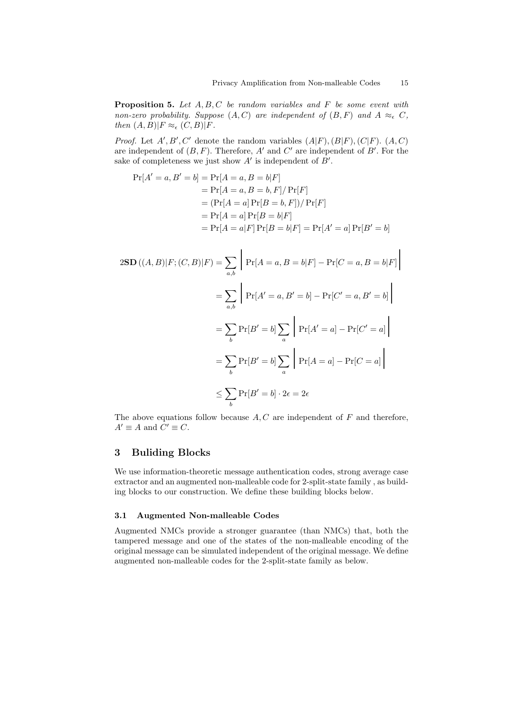**Proposition 5.** Let  $A, B, C$  be random variables and  $F$  be some event with non-zero probability. Suppose  $(A, C)$  are independent of  $(B, F)$  and  $A \approx_{\epsilon} C$ , then  $(A, B)|F \approx_{\epsilon} (C, B)|F$ .

*Proof.* Let  $A', B', C'$  denote the random variables  $(A|F), (B|F), (C|F)$ .  $(A, C)$ are independent of  $(B, F)$ . Therefore, A' and C' are independent of B'. For the sake of completeness we just show  $A'$  is independent of  $B'$ .

$$
Pr[A' = a, B' = b] = Pr[A = a, B = b|F]
$$
  
= Pr[A = a, B = b, F]/Pr[F]  
=  $(Pr[A = a] Pr[B = b, F]) / Pr[F]$   
= Pr[A = a] Pr[B = b|F]  
=  $Pr[A = a|F] Pr[B = b|F] = Pr[A' = a] Pr[B' = b]$ 

$$
2\mathbf{SD}((A, B)|F; (C, B)|F) = \sum_{a,b} \left| \Pr[A = a, B = b|F] - \Pr[C = a, B = b|F] \right|
$$

$$
= \sum_{a,b} \left| \Pr[A' = a, B' = b] - \Pr[C' = a, B' = b] \right|
$$

$$
= \sum_{b} \Pr[B' = b] \sum_{a} \left| \Pr[A' = a] - \Pr[C' = a] \right|
$$

$$
= \sum_{b} \Pr[B' = b] \sum_{a} \left| \Pr[A = a] - \Pr[C = a] \right|
$$

$$
\leq \sum_{b} \Pr[B' = b] \cdot 2\epsilon = 2\epsilon
$$

The above equations follow because  $A, C$  are independent of  $F$  and therefore,  $A' \equiv A$  and  $C' \equiv C$ .

# <span id="page-14-0"></span>3 Buliding Blocks

We use information-theoretic message authentication codes, strong average case extractor and an augmented non-malleable code for 2-split-state family , as building blocks to our construction. We define these building blocks below.

### 3.1 Augmented Non-malleable Codes

Augmented NMCs provide a stronger guarantee (than NMCs) that, both the tampered message and one of the states of the non-malleable encoding of the original message can be simulated independent of the original message. We define augmented non-malleable codes for the 2-split-state family as below.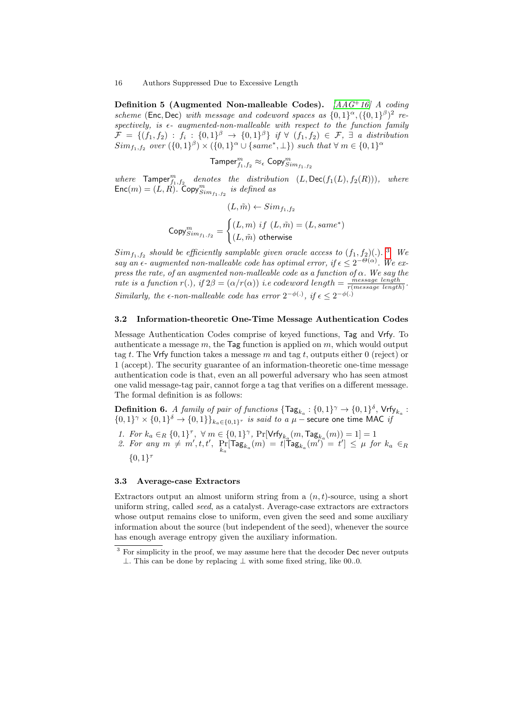Definition 5 (Augmented Non-malleable Codes).  $[AAG^+16]$  $[AAG^+16]$  A coding scheme (Enc, Dec) with message and codeword spaces as  $\{0,1\}^\alpha$ ,  $(\{0,1\}^\beta)^2$  re $spectively, is \epsilon-augmented-non-malleable with respect to the function family$  $\mathcal{F} = \{(f_1, f_2) : f_i : \{0,1\}^\beta \rightarrow \{0,1\}^\beta\}$  if  $\forall$   $(f_1, f_2) \in \mathcal{F}, \exists$  a distribution  $Sim_{f_1,f_2}$  over  $(\{0,1\}^{\beta}) \times (\{0,1\}^{\alpha} \cup \{same^*,\perp\})$  such that  $\forall m \in \{0,1\}^{\alpha}$ 

$$
\textsf{Tamper}_{f_1,f_2}^m \approx_{\epsilon} \textsf{Copy}_{Sim_{f_1,f_2}}^m
$$

where  $\mathsf{Tamper}^m_{f_1,f_2}$  denotes the distribution  $(L, \mathsf{Dec}(f_1(L), f_2(R))),$  where  $\textsf{Enc}(m) = (L, \vec{R})$ . Copy $\sum_{sim_{f_1, f_2}}^m$  is defined as

$$
(L, \tilde{m}) \leftarrow Sim_{f_1, f_2}
$$

$$
Copy_{Sim_{f_1, f_2}}^m = \begin{cases} (L, m) \text{ if } (L, \tilde{m}) = (L, same^*)\\ (L, \tilde{m}) \text{ otherwise} \end{cases}
$$

 $Sim_{f_1, f_2}$  should be efficiently samplable given oracle access to  $(f_1, f_2)$ . <sup>[3](#page-15-0)</sup> We say an  $\epsilon$ - augmented non-malleable code has optimal error, if  $\epsilon \leq 2^{-\Theta(\alpha)}$ . We express the rate, of an augmented non-malleable code as a function of  $\alpha$ . We say the rate is a function  $r(.)$ , if  $2\beta = (\alpha/r(\alpha))$  i.e codeword length  $= \frac{message \ length}{r(message \ length)}$ . Similarly, the  $\epsilon$ -non-malleable code has error  $2^{-\phi(.)}$ , if  $\epsilon \leq 2^{-\phi(.)}$ 

### 3.2 Information-theoretic One-Time Message Authentication Codes

Message Authentication Codes comprise of keyed functions, Tag and Vrfy. To authenticate a message  $m$ , the Tag function is applied on  $m$ , which would output tag t. The Vrfy function takes a message m and tag t, outputs either 0 (reject) or 1 (accept). The security guarantee of an information-theoretic one-time message authentication code is that, even an all powerful adversary who has seen atmost one valid message-tag pair, cannot forge a tag that verifies on a different message. The formal definition is as follows:

**Definition 6.** A family of pair of functions  $\{\mathsf{Tag}_{k_a} : \{0,1\}^\gamma \to \{0,1\}^\delta$ ,  $\mathsf{Vrfy}_{k_a}$ :  $\{0,1\}^{\gamma} \times \{0,1\}^{\delta} \to \{0,1\} \}_{k_a \in \{0,1\}^{\tau}}$  is said to a  $\mu$  – secure one time MAC is

- 1. For  $k_a \in_R \{0,1\}^\tau$ ,  $\forall m \in \{0,1\}^\gamma$ ,  $\Pr[\mathsf{Vrfy}_{k_a}(m,\mathsf{Tag}_{k_a}(m)) = 1] = 1$
- 2. For any  $m \neq m', t, t'$ ,  $Pr_{k_a}[\mathsf{Tag}_{k_a}(m)] = t[\mathsf{Tag}_{k_a}(m')] = t'] \leq \mu$  for  $k_a \in_R$  ${0,1}^{\tau}$

### 3.3 Average-case Extractors

Extractors output an almost uniform string from a  $(n, t)$ -source, using a short uniform string, called seed, as a catalyst. Average-case extractors are extractors whose output remains close to uniform, even given the seed and some auxiliary information about the source (but independent of the seed), whenever the source has enough average entropy given the auxiliary information.

<span id="page-15-0"></span><sup>&</sup>lt;sup>3</sup> For simplicity in the proof, we may assume here that the decoder Dec never outputs ⊥. This can be done by replacing ⊥ with some fixed string, like 00..0.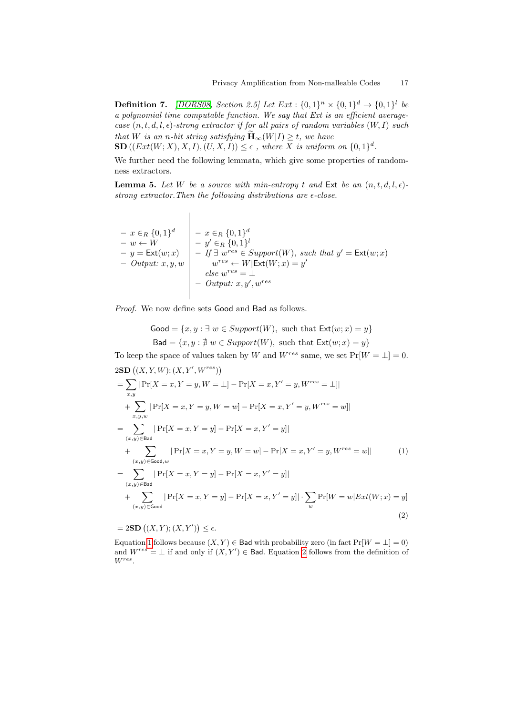**Definition 7.** [\[DORS08,](#page-35-10) Section 2.5] Let  $Ext : \{0,1\}^n \times \{0,1\}^d \rightarrow \{0,1\}^l$  be a polynomial time computable function. We say that Ext is an efficient averagecase  $(n, t, d, l, \epsilon)$ -strong extractor if for all pairs of random variables  $(W, I)$  such that W is an n-bit string satisfying  $\widetilde{\mathbf{H}}_{\infty}(W|I) \geq t$ , we have

 $\text{SD}((Ext(W; X), X, I), (U, X, I)) \leq \epsilon$ , where X is uniform on  $\{0, 1\}^d$ .

<span id="page-16-3"></span>We further need the following lemmata, which give some properties of randomness extractors.

**Lemma 5.** Let W be a source with min-entropy t and Ext be an  $(n, t, d, l, \epsilon)$ strong extractor. Then the following distributions are  $\epsilon$ -close.

$$
\begin{array}{c|c}\n-x \in_R \{0,1\}^d & -x \in_R \{0,1\}^d \\
-x \in W & -y' \in_R \{0,1\}^l \\
-y' \in_R \{0,1\}^l & -y' \in_R \{0,1\}^l \\
-y' \in_R \{0,1\}^l & -y' \in_R \{0,1\}^l \\
-y' \in_R \{0,1\}^l & -y' \in_R \{0,1\}^l \\
-y' \in_R \{0,1\}^l & -y' \in_R \{0,1\}^l & -y' \in_R \{0,1\}^l \\
-y' \in_R \{0,1\}^l & -y' \in_R \{0,1\}^l & -y' \in_R \{0,1\}^l & -y' \in_R \{0,1\}^l & -y' \in_R \{0,1\}^l & -y' \in_R \{0,1\}^l & -y' \in_R \{0,1\}^l & -y' \in_R \{0,1\}^l & -y' \in_R \{0,1\}^l & -y' \in_R \{0,1\}^l & -y' \in_R \{0,1\}^l & -y' \in_R \{0,1\}^l & -y' \in_R \{0,1\}^l & -y' \in_R \{0,1\}^l & -y' \in_R \{0,1\}^l & -y' \in_R \{0,1\}^l & -y' \in_R \{0,1\}^l & -y' \in_R \{0,1\}^l & -y' \in_R \{0,1\}^l & -y' \in_R \{0,1\}^l & -y' \in_R \{0,1\}^l & -y' \in_R \{0,1\}^l & -y' \in_R \{0,1\}^l & -y' \in_R \{0,1\}^l & -y' \in_R \{0,1\}^l & -y' \in_R \{0,1\}^l & -y' \in_R \{0,1\}^l & -y' \in_R \{0,1\}^l & -y' \in_R \{0,1\}^l & -y' \in_R \{0,1\}^l & -y' \in_R \{0,1\}^l & -y' \in_R \{0,1\}^l & -y' \in_R \{0,1\}^l & -y' \in_R \{0,1\}^l & -y' \in_R \{0,1\}^l & -
$$

Proof. We now define sets Good and Bad as follows.

<span id="page-16-0"></span>
$$
Good = \{x, y : \exists w \in Support(W), \text{ such that } \text{Ext}(w; x) = y\}
$$
  

$$
\text{Bad} = \{x, y : \nexists w \in Support(W), \text{ such that } \text{Ext}(w; x) = y\}
$$

To keep the space of values taken by W and  $W^{res}$  same, we set  $Pr[W = \perp] = 0$ .  $2SD((X, Y, W); (X, Y', W^{res}))$ 

$$
= \sum_{x,y} |Pr[X = x, Y = y, W = \bot] - Pr[X = x, Y' = y, W^{res} = \bot]|
$$
  
+ 
$$
\sum_{x,y,w} |Pr[X = x, Y = y, W = w] - Pr[X = x, Y' = y, W^{res} = w]|
$$
  
= 
$$
\sum_{(x,y) \in \text{Bad}} |Pr[X = x, Y = y] - Pr[X = x, Y' = y]|
$$
  
+ 
$$
\sum_{(x,y) \in \text{Good}, w} |Pr[X = x, Y = y, W = w] - Pr[X = x, Y' = y, W^{res} = w]|
$$
  
= 
$$
\sum_{(x,y) \in \text{Bad}} |Pr[X = x, Y = y] - Pr[X = x, Y' = y]|
$$
  
+ 
$$
\sum_{(x,y) \in \text{Good}} |Pr[X = x, Y = y] - Pr[X = x, Y' = y]| \cdot \sum_{w} Pr[W = w|Ext(W; x) = y]
$$
  
(2)

<span id="page-16-1"></span> $= 2SD((X,Y);(X,Y')) \leq \epsilon.$ 

<span id="page-16-2"></span>Equation [1](#page-16-0) follows because  $(X, Y) \in$  Bad with probability zero (in fact  $Pr[W = \perp] = 0$ ) and  $W^{res} = \perp$  if and only if  $(X, Y') \in$  Bad. Equation [2](#page-16-1) follows from the definition of Wres .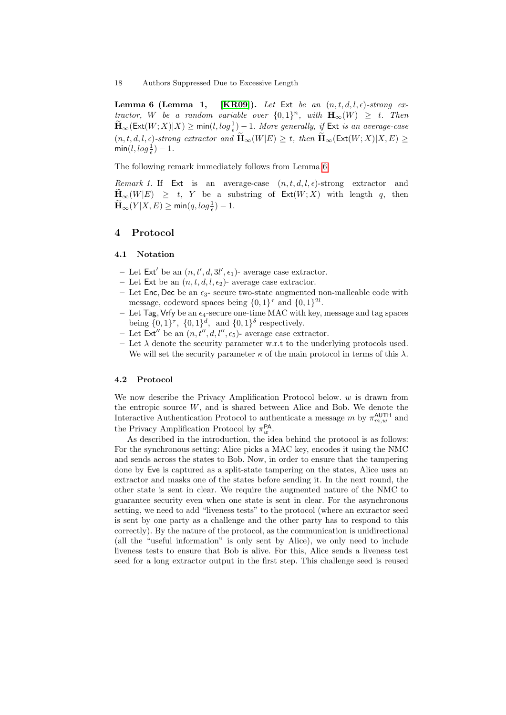Lemma 6 (Lemma 1, [\[KR09\]](#page-36-6)). Let Ext be an  $(n, t, d, l, \epsilon)$ -strong extractor, W be a random variable over  $\{0,1\}^n$ , with  $\mathbf{H}_{\infty}(W) \geq t$ . Then  $\widetilde{\mathbf{H}}_\infty(\mathsf{Ext}(W;X)|X) \ge \mathsf{min}(l, \log \tfrac{1}{\epsilon}) - 1.$  More generally, if  $\mathsf{Ext}$  is an average-case  $(n, t, d, l, \epsilon)$ -strong extractor and  $\widetilde{\mathbf{H}}_{\infty}(W|E) \geq t$ , then  $\widetilde{\mathbf{H}}_{\infty}(\mathsf{Ext}(W; X)|X, E) \geq$  $\min(l, log\frac{1}{\epsilon}) - 1.$ 

<span id="page-17-2"></span>The following remark immediately follows from Lemma [6.](#page-16-2)

Remark 1. If Ext is an average-case  $(n, t, d, l, \epsilon)$ -strong extractor and  $\widetilde{H}_{\infty}(W|E) \geq t$ , Y be a substring of  $\text{Ext}(W;X)$  with length q, then  $\widetilde{\mathbf{H}}_{\infty}(Y|X,E) \geq \min(q, log_{\frac{1}{\epsilon}}) - 1.$ 

# <span id="page-17-0"></span>4 Protocol

### <span id="page-17-1"></span>4.1 Notation

- Let  $Ext'$  be an  $(n, t', d, 3l', \epsilon_1)$  average case extractor.
- Let Ext be an  $(n, t, d, l, \epsilon_2)$  average case extractor.
- Let Enc, Dec be an  $\epsilon_3$  secure two-state augmented non-malleable code with message, codeword spaces being  $\{0,1\}^{\tau}$  and  $\{0,1\}^{2l}$ .
- Let Tag, Vrfy be an  $\epsilon_4$ -secure one-time MAC with key, message and tag spaces being  $\{0,1\}^{\tau}$ ,  $\{0,1\}^d$ , and  $\{0,1\}^{\delta}$  respectively.
- Let  $\textsf{Ext}''$  be an  $(n, t'', d, l'', \epsilon_5)$  average case extractor.
- Let  $\lambda$  denote the security parameter w.r.t to the underlying protocols used. We will set the security parameter  $\kappa$  of the main protocol in terms of this  $\lambda$ .

### 4.2 Protocol

We now describe the Privacy Amplification Protocol below.  $w$  is drawn from the entropic source  $W$ , and is shared between Alice and Bob. We denote the Interactive Authentication Protocol to authenticate a message m by  $\pi_{m,w}^{\text{AUTH}}$  and the Privacy Amplification Protocol by  $\pi_w^{\text{PA}}$ .

As described in the introduction, the idea behind the protocol is as follows: For the synchronous setting: Alice picks a MAC key, encodes it using the NMC and sends across the states to Bob. Now, in order to ensure that the tampering done by Eve is captured as a split-state tampering on the states, Alice uses an extractor and masks one of the states before sending it. In the next round, the other state is sent in clear. We require the augmented nature of the NMC to guarantee security even when one state is sent in clear. For the asynchronous setting, we need to add "liveness tests" to the protocol (where an extractor seed is sent by one party as a challenge and the other party has to respond to this correctly). By the nature of the protocol, as the communication is unidirectional (all the "useful information" is only sent by Alice), we only need to include liveness tests to ensure that Bob is alive. For this, Alice sends a liveness test seed for a long extractor output in the first step. This challenge seed is reused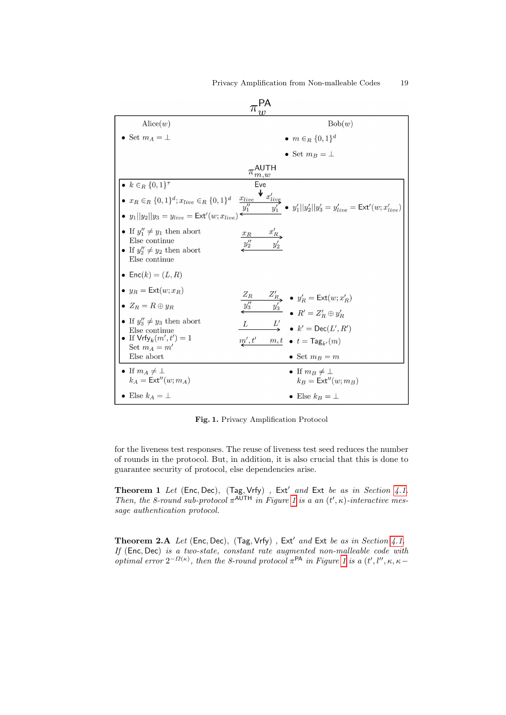| $\text{Alice}(w)$                                                                                                                                                  | Bob(w)                                                                                                                                                                                                                                       |
|--------------------------------------------------------------------------------------------------------------------------------------------------------------------|----------------------------------------------------------------------------------------------------------------------------------------------------------------------------------------------------------------------------------------------|
| • Set $m_A = \perp$                                                                                                                                                | • $m \in_R \{0,1\}^d$                                                                                                                                                                                                                        |
|                                                                                                                                                                    | • Set $m_B = \perp$                                                                                                                                                                                                                          |
|                                                                                                                                                                    | $\pi_{m,w}^{\mathsf{AUTH}}$                                                                                                                                                                                                                  |
| • $k \in_R \{0,1\}^{\tau}$                                                                                                                                         | Eve                                                                                                                                                                                                                                          |
| $\bullet\;\;x_R\in_R\{0,1\}^d; x_{live}\in_R\{0,1\}^d$<br>• $y_1  y_2  y_3 = y_{live} = \text{Ext}'(w; x_{live})$                                                  | $\blacklozenge$ $x'_{liv\xi}$<br>$\frac{x_{live}}{y''_{1}}$<br>$\frac{uv_{\mathcal{E}}}{y'_1}$ • $y'_1  y'_2  y'_3 = y'_{live} = \text{Ext}'(w; x'_{live})$                                                                                  |
| • If $y_1'' \neq y_1$ then abort<br>Else continue<br>• If $y_2'' \neq y_2$ then abort<br>Else continue                                                             | $x'_R$<br>$x_R$                                                                                                                                                                                                                              |
| • Enc $(k) = (L, R)$                                                                                                                                               |                                                                                                                                                                                                                                              |
| • $y_R = \text{Ext}(w; x_R)$<br>• $Z_R = R \oplus y_R$<br>• If $y_3'' \neq y_3$ then abort<br>Else continue<br>• If $\mathsf{Vrfy}_k(m',t') = 1$<br>Set $m_A = m'$ | $Z_R$<br>$\overline{y''_3}$ $\overline{y''_3}$ $\overline{y'_3}$ $\overline{y'_3}$ $\overline{y'_4}$ $\overline{R'} = Z'_R \oplus y'_R$<br>L<br>$L'$ $\bullet$ $k' = \text{Dec}(L', R')$<br>m',t'<br>$m, t \bullet t = \mathsf{Tag}_{k'}(m)$ |
| Else abort                                                                                                                                                         | • Set $m_B = m$                                                                                                                                                                                                                              |
| • If $m_A \neq \perp$<br>$k_A = \text{Ext}''(w; m_A)$                                                                                                              | • If $m_B \neq \perp$<br>$k_B = \text{Ext}''(w; m_B)$                                                                                                                                                                                        |
| • Else $k_A = \perp$                                                                                                                                               | • Else $k_B = \perp$                                                                                                                                                                                                                         |

<span id="page-18-0"></span>Fig. 1. Privacy Amplification Protocol

for the liveness test responses. The reuse of liveness test seed reduces the number of rounds in the protocol. But, in addition, it is also crucial that this is done to guarantee security of protocol, else dependencies arise.

<span id="page-18-1"></span>Theorem 1 Let (Enc, Dec), (Tag, Vrfy), Ext' and Ext be as in Section [4.1.](#page-17-1) Then, the 8-round sub-protocol  $\pi^{\text{AUTH}}$  in Figure [1](#page-18-0) is a an  $(t', \kappa)$ -interactive message authentication protocol.

<span id="page-18-2"></span>Theorem 2.A Let (Enc, Dec), (Tag, Vrfy), Ext' and Ext be as in Section [4.1.](#page-17-1) If (Enc, Dec) is a two-state, constant rate augmented non-malleable code with optimal error  $2^{-\Omega(\kappa)}$ , then the 8-round protocol π<sup>PA</sup> in Figure [1](#page-18-0) is a  $(t', l'', \kappa, \kappa -$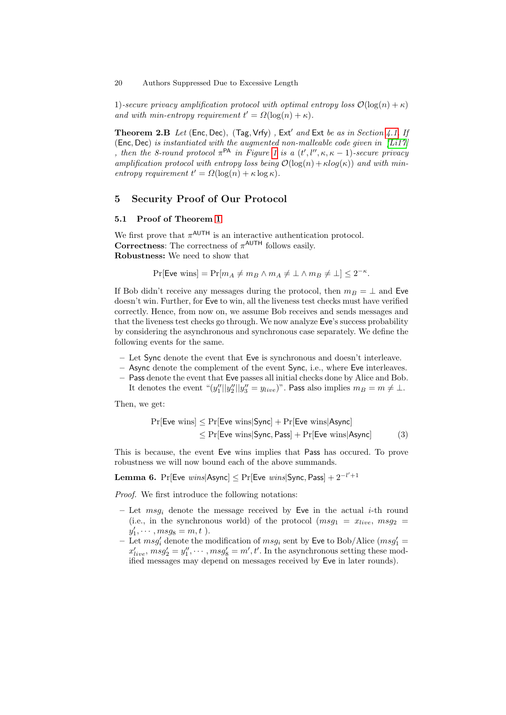1)-secure privacy amplification protocol with optimal entropy loss  $\mathcal{O}(\log(n) + \kappa)$ and with min-entropy requirement  $t' = \Omega(\log(n) + \kappa)$ .

**Theorem 2.B** Let (Enc, Dec), (Tag, Vrfy), Ext' and Ext be as in Section [4.1.](#page-17-1) If (Enc, Dec) is instantiated with the augmented non-malleable code given in  $[Li17]$ , then the 8-round protocol  $\pi$ <sup>PA</sup> in Figure [1](#page-18-0) is a  $(t', l'', \kappa, \kappa - 1)$ -secure privacy amplification protocol with entropy loss being  $\mathcal{O}(\log(n) + \kappa \log(\kappa))$  and with minentropy requirement  $t' = \Omega(\log(n) + \kappa \log \kappa)$ .

# <span id="page-19-0"></span>5 Security Proof of Our Protocol

# <span id="page-19-2"></span>5.1 Proof of Theorem [1](#page-18-1)

We first prove that  $\pi^{\text{AUTH}}$  is an interactive authentication protocol. **Correctness:** The correctness of  $\pi^{\text{AUTH}}$  follows easily. Robustness: We need to show that

 $Pr[$ Eve wins $] = Pr[m_A \neq m_B \land m_A \neq \bot \land m_B \neq \bot] \leq 2^{-\kappa}.$ 

If Bob didn't receive any messages during the protocol, then  $m_B = \perp$  and Eve doesn't win. Further, for Eve to win, all the liveness test checks must have verified correctly. Hence, from now on, we assume Bob receives and sends messages and that the liveness test checks go through. We now analyze Eve's success probability by considering the asynchronous and synchronous case separately. We define the following events for the same.

- Let Sync denote the event that Eve is synchronous and doesn't interleave.
- Async denote the complement of the event Sync, i.e., where Eve interleaves.
- Pass denote the event that Eve passes all initial checks done by Alice and Bob. It denotes the event " $(y''_1||y''_2||y''_3 = y_{live})$ ". Pass also implies  $m_B = m \neq \bot$ .

Then, we get:

<span id="page-19-1"></span>
$$
Pr[Eve wins] \leq Pr[Eve wins|Sync] + Pr[Eve wins|Async]
$$
  
\n
$$
\leq Pr[Eve wins|Sync, Pass] + Pr[Eve wins|Async]
$$
 (3)

This is because, the event Eve wins implies that Pass has occured. To prove robustness we will now bound each of the above summands.

 ${\rm \bf Lemma~6.}$   $\Pr[{\sf Eve~ wins} | {\sf Async}] \leq \Pr[{\sf Eve~ wins} | {\sf Sync}, {\sf Pass}] + 2^{-l'+1}$ 

Proof. We first introduce the following notations:

- Let  $msg_i$  denote the message received by Eve in the actual *i*-th round (i.e., in the synchronous world) of the protocol  $(msg_1 = x_{live}, msg_2 =$  $y'_1, \cdots, msg_8 = m, t$ ).
- Let  $msg'_i$  denote the modification of  $msg_i$  sent by Eve to Bob/Alice  $(msg'_1 =$  $x'_{live}$ ,  $msg'_2 = y''_1, \cdots, msg'_8 = m', t'.$  In the asynchronous setting these modified messages may depend on messages received by Eve in later rounds).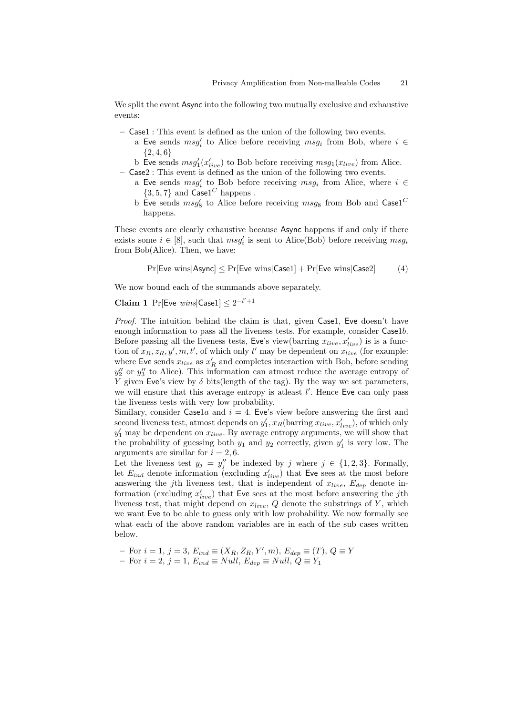We split the event Async into the following two mutually exclusive and exhaustive events:

- Case1 : This event is defined as the union of the following two events.
	- a Eve sends  $msg'_i$  to Alice before receiving  $msg_i$  from Bob, where  $i \in$  ${2, 4, 6}$
- b Eve sends  $msg'_1(x'_{live})$  to Bob before receiving  $msg_1(x_{live})$  from Alice. – Case2 : This event is defined as the union of the following two events.
	- a Eve sends  $msg'_i$  to Bob before receiving  $msg_i$  from Alice, where  $i \in$  $\{3, 5, 7\}$  and  $\textsf{Case1}^C$  happens.
	- b Eve sends  $msg'_8$  to Alice before receiving  $msg_8$  from Bob and Case1<sup>C</sup> happens.

These events are clearly exhaustive because Async happens if and only if there exists some  $i \in [8]$ , such that  $msg'_i$  is sent to Alice(Bob) before receiving  $msg_i$ from Bob(Alice). Then, we have:

<span id="page-20-1"></span><span id="page-20-0"></span>
$$
Pr[{\text{Eve wins}} | {\text{Async}}] \leq Pr[{\text{Eve wins}} | {\text{Case1}}] + Pr[{\text{Eve wins}} | {\text{Case2}}] \tag{4}
$$

We now bound each of the summands above separately.

# **Claim 1** Pr[Eve  $wins$ [Case1]  $\leq 2^{-l'+1}$

Proof. The intuition behind the claim is that, given Case1, Eve doesn't have enough information to pass all the liveness tests. For example, consider Case1b. Before passing all the liveness tests, Eve's view(barring  $x_{live}, x'_{live}$ ) is is a function of  $x_R, z_R, y', m, t'$ , of which only t' may be dependent on  $x_{live}$  (for example: where Eve sends  $x_{live}$  as  $x_R'$  and completes interaction with Bob, before sending  $y_2''$  or  $y_3''$  to Alice). This information can atmost reduce the average entropy of Y given Eve's view by  $\delta$  bits(length of the tag). By the way we set parameters, we will ensure that this average entropy is at least  $l'$ . Hence Eve can only pass the liveness tests with very low probability.

Similary, consider Case1a and  $i = 4$ . Eve's view before answering the first and second liveness test, atmost depends on  $y'_1$ ,  $x_R$ (barring  $x_{live}$ ,  $x'_{live}$ ), of which only  $y'_1$  may be dependent on  $x_{live}$ . By average entropy arguments, we will show that the probability of guessing both  $y_1$  and  $y_2$  correctly, given  $y'_1$  is very low. The arguments are similar for  $i = 2, 6$ .

Let the liveness test  $y_j = y''_j$  be indexed by j where  $j \in \{1, 2, 3\}$ . Formally, let  $E_{ind}$  denote information (excluding  $x'_{live}$ ) that Eve sees at the most before answering the j<sup>th</sup> liveness test, that is independent of  $x_{live}$ ,  $E_{dep}$  denote information (excluding  $x'_{live}$ ) that Eve sees at the most before answering the jth liveness test, that might depend on  $x_{live}$ ,  $Q$  denote the substrings of  $Y$ , which we want Eve to be able to guess only with low probability. We now formally see what each of the above random variables are in each of the sub cases written below.

- For 
$$
i = 1
$$
,  $j = 3$ ,  $E_{ind} \equiv (X_R, Z_R, Y', m)$ ,  $E_{dep} \equiv (T)$ ,  $Q \equiv Y$ 

– For  $i = 2$ ,  $j = 1$ ,  $E_{ind} \equiv Null$ ,  $E_{dep} \equiv Null$ ,  $Q \equiv Y_1$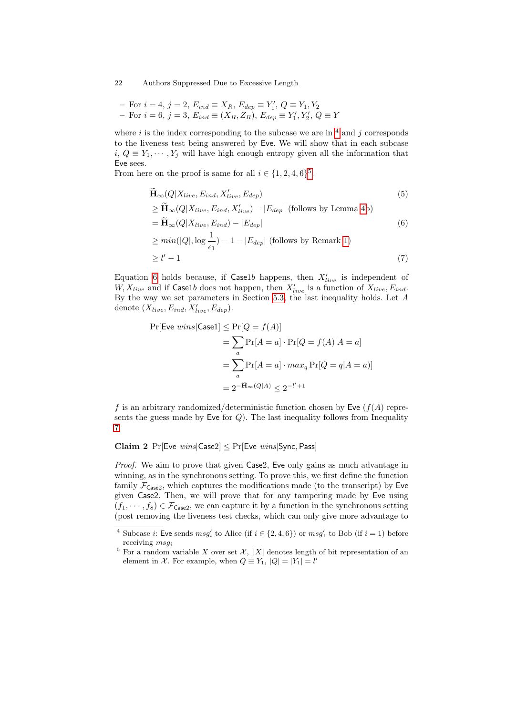- For 
$$
i = 4
$$
,  $j = 2$ ,  $E_{ind} \equiv X_R$ ,  $E_{dep} \equiv Y'_1$ ,  $Q \equiv Y_1$ ,  $Y_2$   
- For  $i = 6$ ,  $j = 3$ ,  $E_{ind} \equiv (X_R, Z_R)$ ,  $E_{dep} \equiv Y'_1, Y'_2$ ,  $Q \equiv Y$ 

where i is the index corresponding to the subcase we are in  $\frac{4}{3}$  $\frac{4}{3}$  $\frac{4}{3}$  and j corresponds to the liveness test being answered by Eve. We will show that in each subcase  $i, Q \equiv Y_1, \dots, Y_j$  will have high enough entropy given all the information that Eve sees.

From here on the proof is same for all  $i \in \{1, 2, 4, 6\}^5$  $i \in \{1, 2, 4, 6\}^5$ .

<span id="page-21-3"></span><span id="page-21-2"></span>
$$
\widetilde{\mathbf{H}}_{\infty}(Q|X_{live}, E_{ind}, X'_{live}, E_{dep})
$$
\n
$$
\geq \widetilde{\mathbf{H}}_{\infty}(Q|X_{live}, E_{ind}, X'_{live}) - |E_{dep}| \text{ (follows by Lemma 4b)}
$$
\n
$$
= \widetilde{\mathbf{H}}_{\infty}(Q|X_{live}, E_{ind}) - |E_{dep}|
$$
\n
$$
\geq min(|Q|, \log \frac{1}{\epsilon_1}) - 1 - |E_{dep}| \text{ (follows by Remark 1)}
$$
\n
$$
\geq l' - 1
$$
\n(7)

Equation [6](#page-21-2) holds because, if Caselb happens, then  $X'_{live}$  is independent of  $W, X_{live}$  and if Case1b does not happen, then  $X'_{live}$  is a function of  $X_{live}$ ,  $E_{ind}$ . By the way we set parameters in Section [5.3,](#page-32-0) the last inequality holds. Let A denote  $(X_{live}, E_{ind}, X'_{live}, E_{dep})$ .

$$
\Pr[\text{Eve } wins | \text{Case1}] \le \Pr[Q = f(A)]
$$
  
= 
$$
\sum_{a} \Pr[A = a] \cdot \Pr[Q = f(A)|A = a]
$$
  
= 
$$
\sum_{a} \Pr[A = a] \cdot max_{q} \Pr[Q = q|A = a)]
$$
  
= 
$$
2^{-\widetilde{H}_{\infty}(Q|A)} \le 2^{-l' + 1}
$$

f is an arbitrary randomized/deterministic function chosen by Eve  $(f(A))$  represents the guess made by Eve for  $Q$ ). The last inequality follows from Inequality [7.](#page-21-3)

### <span id="page-21-4"></span>Claim 2  $Pr[Eve \ wins|Case2] \leq Pr[Eve \ wins|Sync, Pass]$

Proof. We aim to prove that given Case2, Eve only gains as much advantage in winning, as in the synchronous setting. To prove this, we first define the function family  $\mathcal{F}_{\text{Case2}}$ , which captures the modifications made (to the transcript) by Eve given Case2. Then, we will prove that for any tampering made by Eve using  $(f_1, \dots, f_8) \in \mathcal{F}_{\text{Case2}}$ , we can capture it by a function in the synchronous setting (post removing the liveness test checks, which can only give more advantage to

<span id="page-21-0"></span><sup>&</sup>lt;sup>4</sup> Subcase *i*: Eve sends  $msg'_i$  to Alice (if  $i \in \{2, 4, 6\}$ ) or  $msg'_1$  to Bob (if  $i = 1$ ) before receiving  $msq_i$ 

<span id="page-21-1"></span><sup>&</sup>lt;sup>5</sup> For a random variable X over set X, |X| denotes length of bit representation of an element in X. For example, when  $Q \equiv Y_1$ ,  $|Q| = |Y_1| = l'$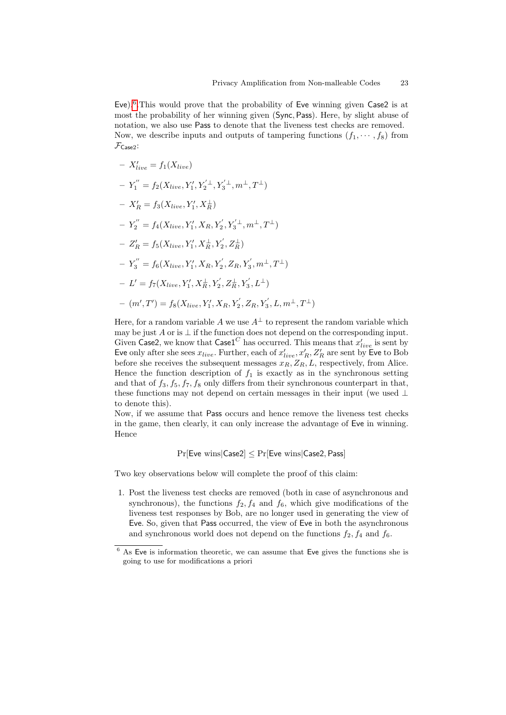Eve).<sup>[6](#page-22-0)</sup>. This would prove that the probability of Eve winning given Case2 is at most the probability of her winning given (Sync, Pass). Here, by slight abuse of notation, we also use Pass to denote that the liveness test checks are removed. Now, we describe inputs and outputs of tampering functions  $(f_1, \dots, f_8)$  from  $\mathcal{F}_{\textsf{Case2}}$ :

$$
- X'_{live} = f_1(X_{live})
$$
  
\n
$$
- Y''_1 = f_2(X_{live}, Y'_1, Y'_2^{\perp}, Y'_3^{\perp}, m^{\perp}, T^{\perp})
$$
  
\n
$$
- X'_R = f_3(X_{live}, Y'_1, X_R^{\perp})
$$
  
\n
$$
- Y''_2 = f_4(X_{live}, Y'_1, X_R, Y'_2, Y'_3^{\perp}, m^{\perp}, T^{\perp})
$$
  
\n
$$
- Z'_R = f_5(X_{live}, Y'_1, X_R^{\perp}, Y'_2, Z_R^{\perp})
$$
  
\n
$$
- Y''_3 = f_6(X_{live}, Y'_1, X_R, Y'_2, Z_R, Y'_3, m^{\perp}, T^{\perp})
$$
  
\n
$$
- L' = f_7(X_{live}, Y'_1, X_R^{\perp}, Y'_2, Z_R^{\perp}, Y'_3, L^{\perp})
$$
  
\n
$$
- (m', T') = f_8(X_{live}, Y'_1, X_R, Y'_2, Z_R, Y'_3, L, m^{\perp}, T^{\perp})
$$

Here, for a random variable A we use  $A^{\perp}$  to represent the random variable which may be just A or is  $\perp$  if the function does not depend on the corresponding input. Given Case2, we know that  $\mathsf{Case1}^C$  has occurred. This means that  $x'_{live}$  is sent by Eve only after she sees  $x_{live}$ . Further, each of  $x'_{live}$ ,  $x'_R$ ,  $Z'_R$  are sent by Eve to Bob before she receives the subsequent messages  $x_R, Z_R, L$ , respectively, from Alice. Hence the function description of  $f_1$  is exactly as in the synchronous setting and that of  $f_3, f_5, f_7, f_8$  only differs from their synchronous counterpart in that, these functions may not depend on certain messages in their input (we used ⊥ to denote this).

Now, if we assume that Pass occurs and hence remove the liveness test checks in the game, then clearly, it can only increase the advantage of Eve in winning. Hence

 $Pr[Eve wins|Case2] \leq Pr[Eve wins|Case2, Pass]$ 

Two key observations below will complete the proof of this claim:

1. Post the liveness test checks are removed (both in case of asynchronous and synchronous), the functions  $f_2, f_4$  and  $f_6$ , which give modifications of the liveness test responses by Bob, are no longer used in generating the view of Eve. So, given that Pass occurred, the view of Eve in both the asynchronous and synchronous world does not depend on the functions  $f_2, f_4$  and  $f_6$ .

<span id="page-22-0"></span> $6$  As Eve is information theoretic, we can assume that Eve gives the functions she is going to use for modifications a priori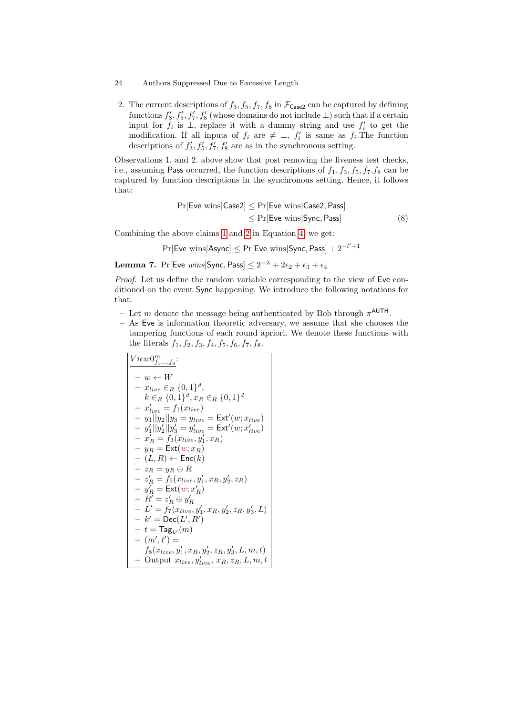2. The current descriptions of  $f_3, f_5, f_7, f_8$  in  $\mathcal{F}_{\text{Case2}}$  can be captured by defining functions  $f'_3, f'_5, f'_7, f'_8$  (whose domains do not include  $\perp$ ) such that if a certain input for  $f_i$  is  $\perp$ , replace it with a dummy string and use  $f'_i$  to get the modification. If all inputs of  $f_i$  are  $\neq \perp$ ,  $f'_i$  is same as  $f_i$ . The function descriptions of  $f'_3, f'_5, f'_7, f'_8$  are as in the synchronous setting.

Observations 1. and 2. above show that post removing the liveness test checks, i.e., assuming Pass occurred, the function descriptions of  $f_1, f_3, f_5, f_7. f_8$  can be captured by function descriptions in the synchronous setting. Hence, it follows that:

$$
Pr[Eve wins|Case2] \le Pr[Eve wins|Case2, Pass]
$$
  

$$
\le Pr[Eve wins|Sync, Pass]
$$
 (8)

Combining the above claims [1](#page-20-0) and [2](#page-21-4) in Equation [4,](#page-20-1) we get:

 $\Pr[\mathsf{Eve \ wins} | \mathsf{Async}] \leq \Pr[\mathsf{Eve \ wins} | \mathsf{Sync}, \mathsf{Pass}] + 2^{-l'+1}$ 

<span id="page-23-0"></span>**Lemma 7.**  $\Pr[\mathsf{Eve} \text{ wins} | \mathsf{Sync}, \mathsf{Pass}] \leq 2^{-\lambda} + 2\epsilon_2 + \epsilon_3 + \epsilon_4$ 

Proof. Let us define the random variable corresponding to the view of Eve conditioned on the event Sync happening. We introduce the following notations for that.

- Let m denote the message being authenticated by Bob through  $\pi^{\text{AUTH}}$ .
- As Eve is information theoretic adversary, we assume that she chooses the tampering functions of each round apriori. We denote these functions with the literals  $f_1, f_2, f_3, f_4, f_5, f_6, f_7, f_8.$

$$
View0_{f_1,...f_8}^m:\n- w \leftarrow W\n- x_{live} \in_R \{0,1\}^d,\nk \in_R \{0,1\}^d, x_R \in_R \{0,1\}^d\n- x'_{live} = f_1(x_{live})\n- y_1||y_2||y_3 = y_{live} = \text{Ext}'(w; x_{live})\n- y'_1||y'_2||y'_3 = y'_{live} = \text{Ext}'(w; x'_{live})\n- x'_R = f_3(x_{live}, y'_1, x_R)\n- y_R = \text{Ext}(w; x_R)\n- (L, R) \leftarrow \text{Enc}(k)\n- z_R = y_R \oplus R\n- z'_R = f_5(x_{live}, y'_1, x_R, y'_2, z_R)\n- y'_R = \text{Ext}(w; x'_R)\n- R' = z'_R \oplus y'_R\n- L' = f_7(x_{live}, y'_1, x_R, y'_2, z_R, y'_3, L)\n- k' = \text{Dec}(L', R')\n- t = \text{Tag}_{k'}(m)\n- (m', t') =\nf_8(x_{live}, y'_1, x_R, y'_2, z_R, y'_3, L, m, t)\n- Output xlive, ylive, x_R, z_R, L, m, t
$$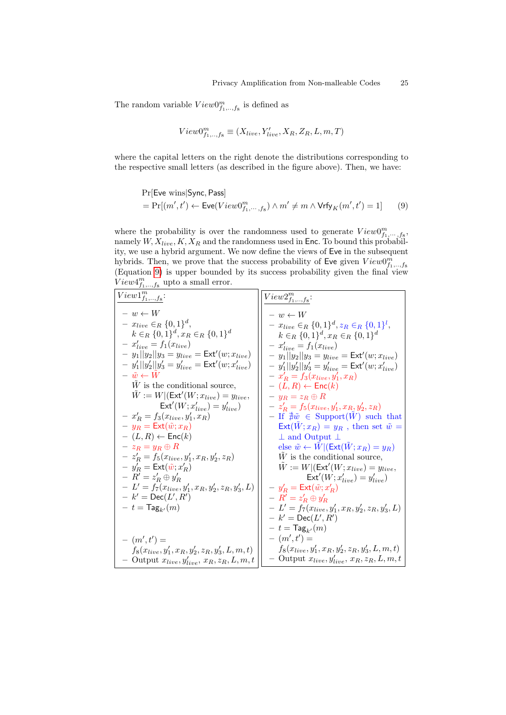The random variable  $View0^m_{f_1,\ldots,f_8}$  is defined as

<span id="page-24-0"></span>
$$
View0^m_{f_1,..,f_8} \equiv (X_{live}, Y'_{live}, X_R, Z_R, L, m, T)
$$

where the capital letters on the right denote the distributions corresponding to the respective small letters (as described in the figure above). Then, we have:

$$
\begin{aligned} &\Pr[\mathsf{Eve\ wins}|\mathsf{Sync},\mathsf{Pass}] \\ &= \Pr[(m',t') \leftarrow \mathsf{Eve}(View0^m_{f_1,\cdots,f_8}) \wedge m' \neq m \wedge \mathsf{Vrfy}_K(m',t') = 1] \end{aligned} \eqno{(9)}
$$

where the probability is over the randomness used to generate  $View0^m_{f_1,\dots,f_8}$ , namely  $W, X_{live}, K, X_R$  and the randomness used in Enc. To bound this probability, we use a hybrid argument. We now define the views of Eve in the subsequent hybrids. Then, we prove that the success probability of Eve given  $View0^m_{f_1,\dots,f_8}$ <br>(Equation [9\)](#page-24-0) is upper bounded by its success probability given the final view  $View4^{m}_{f_1,\ldots,f_8}$  upto a small error.

| ,,,,,,,                                                   |                                                                |
|-----------------------------------------------------------|----------------------------------------------------------------|
| $View1^m_{f_1,\ldots,f_8}$ :                              | $View2^{m}_{f_1, , f_8}$ :                                     |
| $- w \leftarrow W$                                        | $- w \leftarrow W$                                             |
| $- x_{live} \in_R \{0,1\}^d$ ,                            | $- x_{live} \in_R \{0,1\}^d, z_R \in_R \{0,1\}^l,$             |
| $k \in_R \{0,1\}^d, x_R \in_R \{0,1\}^d$                  | $k \in_R \{0,1\}^d, x_R \in_R \{0,1\}^d$                       |
| $- x'_{live} = f_1(x_{live})$                             | $- x'_{live} = f_1(x_{live})$                                  |
| $- y_1  y_2  y_3 = y_{live} = \text{Ext}'(w; x_{live})$   | $- y_1  y_2  y_3 = y_{live} = \text{Ext}'(w; x_{live})$        |
| $y_1  y_2'  y_3' = y_{live}' = \text{Ext}'(w; x_{live}')$ | $- y'_1   y'_2   y'_3 = y'_{live} = \text{Ext}'(w; x'_{live})$ |
| $- \tilde{w} \leftarrow W$                                | $-x'_R = f_3(x_{live}, y'_1, x_R)$                             |
| $W$ is the conditional source,                            | $- (L, R) \leftarrow \mathsf{Enc}(k)$                          |
| $\tilde{W} := W   (Ext'(W; x_{live}) = y_{live})$         | $-y_R = z_R \oplus R$                                          |
| $\mathsf{Ext}'(W; x'_{live}) = y'_{live})$                | $-z'_R = f_5(x_{live}, y'_1, x_R, y'_2, z_R)$                  |
| $- x'_R = f_3(x_{live}, y'_1, x_R)$                       | - If $\forall \tilde{w} \in \text{Support}(W)$ such that       |
| $- y_R = \text{Ext}(\tilde{w}; x_R)$                      | $\text{Ext}(W; x_R) = y_R$ , then set $\tilde{w} =$            |
| $- (L, R) \leftarrow \mathsf{Enc}(k)$                     | $\perp$ and Output $\perp$                                     |
| $- z_R = y_R \oplus R$                                    | else $\tilde{w} \leftarrow W   (Ext(W; x_R) = y_R)$            |
| $-z'_R = f_5(x_{live}, y'_1, x_R, y'_2, z_R)$             | $W$ is the conditional source,                                 |
| $-y'_R = \text{Ext}(\tilde{w}; x'_R)$                     | $\tilde{W} := W   (Ext'(W; x_{live}) = y_{live})$              |
| $- R' = z'_R \oplus y'_R$                                 | $\mathsf{Ext}'(W; x'_{live}) = y'_{live})$                     |
| $- L' = f_7(x_{live}, y'_1, x_R, y'_2, z_R, y'_3, L)$     | $-y'_R = \text{Ext}(\tilde{w}; x'_R)$                          |
| $- k' = \textsf{Dec}(L', R')$                             | $- R' = z'_B \oplus y'_B$                                      |
| $- t = \text{Tag}_{k'}(m)$                                | $-L' = f_7(x_{live}, y'_1, x_R, y'_2, z_R, y'_3, L)$           |
|                                                           | $- k' = \textsf{Dec}(L', R')$                                  |
|                                                           | $- t = \text{Tag}_{k'}(m)$                                     |
| $ (m', t') =$                                             | $ (m', t') =$                                                  |
| $f_8(x_{live}, y'_1, x_R, y'_2, z_R, y'_3, L, m, t)$      | $f_8(x_{live}, y'_1, x_R, y'_2, z_R, y'_3, L, m, t)$           |
| $-$ Output $x_{live}, y'_{live}, x_R, z_R, L, m, t$       | - Output $x_{live}, y'_{live}, x_R, z_R, L, m, t$              |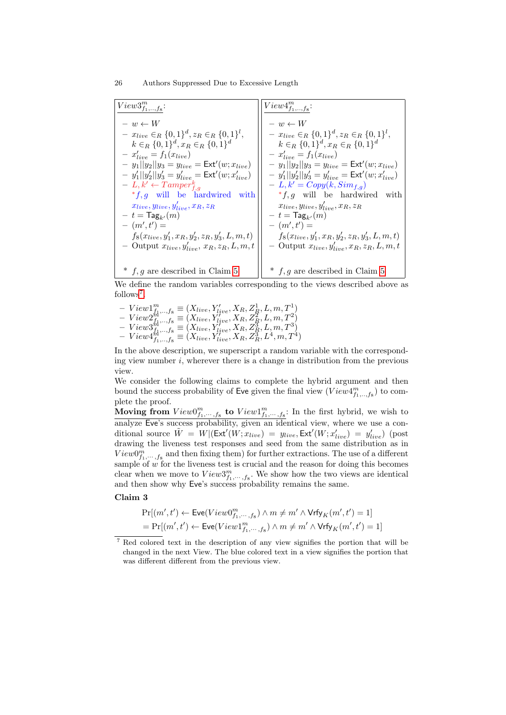| $View3^{m}_{f_1,,f_8}$ :                                                                                                                                                                                                                                                                                                                                                                                                                                | $View4^{m}_{f_1,\ldots,f_8}$ :                                                                                                                                                                                                                                                                                                                                                                                                               |
|---------------------------------------------------------------------------------------------------------------------------------------------------------------------------------------------------------------------------------------------------------------------------------------------------------------------------------------------------------------------------------------------------------------------------------------------------------|----------------------------------------------------------------------------------------------------------------------------------------------------------------------------------------------------------------------------------------------------------------------------------------------------------------------------------------------------------------------------------------------------------------------------------------------|
| $- w \leftarrow W$<br>$- x_{live} \in_R \{0,1\}^d, z_R \in_R \{0,1\}^l,$<br>$k \in_R \{0,1\}^d, x_R \in_R \{0,1\}^d$<br>$- x'_{live} = f_1(x_{live})$<br>$- y_1  y_2  y_3 = y_{live} = \text{Ext}'(w; x_{live})$<br>$-y'_1  y'_2  y'_3 = y'_{live} = \text{Ext}'(w; x'_{live})$<br>$- L, k' \leftarrow Tamper_{f,q}^k$<br>$*f$ , q will be hardwired with<br>$x_{live}, y_{live}, y'_{line}, x_R, z_R$<br>$- t = \textsf{Tag}_{k'}(m)$<br>$ (m', t') =$ | $- w \leftarrow W$<br>$- x_{live} \in_R \{0,1\}^d, z_R \in_R \{0,1\}^l,$<br>$k \in_R \{0,1\}^d, x_R \in_R \{0,1\}^d$<br>$- x'_{live} = f_1(x_{live})$<br>$- y_1  y_2  y_3 = y_{live} = \text{Ext}'(w; x_{live})$<br>$-y'_1  y'_2  y'_3 = y'_{live} = \text{Ext}'(w; x'_{live})$<br>$-L, k' = Copy(k, Simf,q)$<br>$* f, g$ will be hardwired with<br>$x_{live}, y_{live}, y'_{live}, x_R, z_R$<br>$- t = \text{Tag}_{k'}(m)$<br>$ (m', t') =$ |
| $f_8(x_{live}, y'_1, x_R, y'_2, z_R, y'_3, L, m, t)$<br>- Output $x_{live}, y'_{live}, x_R, z_R, L, m, t$                                                                                                                                                                                                                                                                                                                                               | $f_8(x_{live}, y'_1, x_R, y'_2, z_R, y'_3, L, m, t)$<br>- Output $x_{live}, y'_{live}, x_R, z_R, L, m, t$                                                                                                                                                                                                                                                                                                                                    |
| $*$ f, g are described in Claim 5                                                                                                                                                                                                                                                                                                                                                                                                                       | $*$ f, g are described in Claim 5                                                                                                                                                                                                                                                                                                                                                                                                            |

We define the random variables corresponding to the views described above as follows<sup>[7](#page-25-0)</sup>.

 $-View1_{f_1,..,f_8}^m \equiv (X_{live}, Y'_{live}, X_R, Z_R^1, L, m, T_A^1)$  $View2^{th, ..., s}_{f_1, ..., f_8} \equiv (X_{live}, Y'_{live}, X_R, Z_R^2, L, m, T^2)$  $- \; View3^{th^1,\ldots,ts}_{I_1,\ldots,fs} \equiv \left(X_{live}, Y^{tree}_{live}, X_R, Z_R^3, L, m, T^3\right)$  $-View4^{h^1,\ldots,s}_{f_1,\ldots,f_8} \equiv (X^{tree}_{live}, Y^{tree}_{live}, X^{R}_{R}, Z^{3}_{R}, L^4, m, T^4)$ 

In the above description, we superscript a random variable with the corresponding view number  $i$ , wherever there is a change in distribution from the previous view.

We consider the following claims to complete the hybrid argument and then bound the success probability of Eve given the final view  $(V ieu4^m_{f_1,\dots,f_8})$  to complete the proof.

Moving from  $View0^m_{f_1,\dots,f_8}$  to  $View1^m_{f_1,\dots,f_8}$ : In the first hybrid, we wish to analyze Eve's success probability, given an identical view, where we use a conditional source  $\tilde{W} = W | (Ext'(W; x_{live}) = y_{live}, Ext'(W; x'_{live}) = y'_{live})$  (post drawing the liveness test responses and seed from the same distribution as in  $View0^m_{f_1,\dots,f_8}$  and then fixing them) for further extractions. The use of a different sample of  $w$  for the liveness test is crucial and the reason for doing this becomes clear when we move to  $View3^m_{f_1,\dots,f_8}$ . We show how the two views are identical and then show why Eve's success probability remains the same.

Claim 3

<span id="page-25-1"></span>
$$
\begin{aligned} &\Pr[(m',t') \leftarrow \textsf{Eve}(View0^m_{f_1,\cdots,f_8}) \wedge m \neq m' \wedge \textsf{Vrfy}_K(m',t') = 1] \\ &= \Pr[(m',t') \leftarrow \textsf{Eve}(View1^m_{f_1,\cdots,f_8}) \wedge m \neq m' \wedge \textsf{Vrfy}_K(m',t') = 1] \end{aligned}
$$

<span id="page-25-0"></span><sup>7</sup> Red colored text in the description of any view signifies the portion that will be changed in the next View. The blue colored text in a view signifies the portion that was different different from the previous view.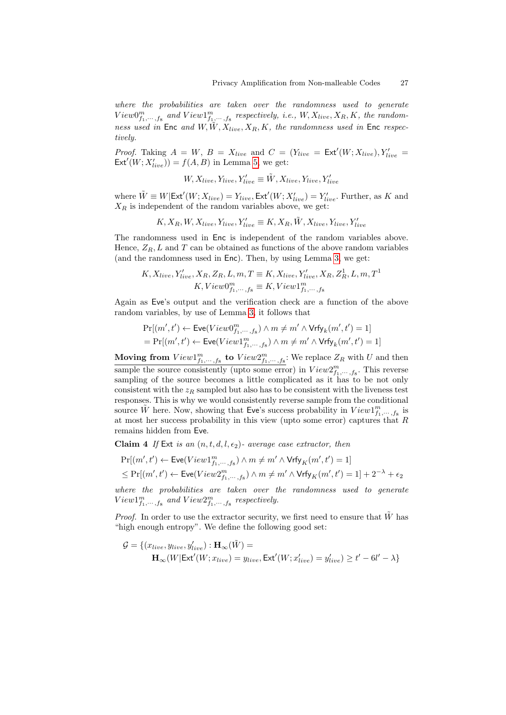where the probabilities are taken over the randomness used to generate  $View0^m_{f_1,\dots,f_8}$  and  $View1^m_{f_1,\dots,f_8}$  respectively, i.e.,  $W, X_{live}, X_R, K$ , the randomness used in Enc and  $W, \tilde{W}, X_{live}, X_R, K$ , the randomness used in Enc respectively.

*Proof.* Taking  $A = W$ ,  $B = X_{live}$  and  $C = (Y_{live} = Ext'(W; X_{live}), Y'_{live} = E_{\text{tr}}'(W; X_{live}))$  $\text{Ext}'(W; X'_{live}) = f(A, B)$  in Lemma [5,](#page-16-3) we get:

$$
W, X_{live}, Y_{live}, Y'_{live} \equiv \tilde{W}, X_{live}, Y_{live}, Y'_{live}
$$

where  $\tilde{W} \equiv W|\text{Ext}'(W; X_{live}) = Y_{live}, \text{Ext}'(W; X'_{live}) = Y'_{live}.$  Further, as K and  $X_R$  is independent of the random variables above, we get:

$$
K, X_R, W, X_{live}, Y_{live}, Y'_{live} \equiv K, X_R, \tilde{W}, X_{live}, Y_{live}, Y'_{live}
$$

The randomness used in Enc is independent of the random variables above. Hence,  $Z_R$ , L and T can be obtained as functions of the above random variables (and the randomness used in Enc). Then, by using Lemma [3,](#page-11-1) we get:

$$
K, X_{live}, Y'_{live}, X_R, Z_R, L, m, T \equiv K, X_{live}, Y'_{live}, X_R, Z_R^1, L, m, T^1
$$
  

$$
K, View0_{f_1, ..., f_8}^m \equiv K, View1_{f_1, ..., f_8}^m
$$

Again as Eve's output and the verification check are a function of the above random variables, by use of Lemma [3,](#page-11-1) it follows that

$$
\Pr[(m',t') \leftarrow \text{Eve}(View0^m_{f_1,\dots,f_8}) \land m \neq m' \land \text{Vrfy}_k(m',t') = 1]
$$
  
= 
$$
\Pr[(m',t') \leftarrow \text{Eve}(View1^m_{f_1,\dots,f_8}) \land m \neq m' \land \text{Vrfy}_k(m',t') = 1]
$$

Moving from  $View1_{f_1,\dots,f_8}^m$  to  $View2_{f_1,\dots,f_8}^m$ : We replace  $Z_R$  with U and then sample the source consistently (upto some error) in  $View2^m_{f_1,\dots,f_8}$ . This reverse sampling of the source becomes a little complicated as it has to be not only consistent with the  $z_R$  sampled but also has to be consistent with the liveness test responses. This is why we would consistently reverse sample from the conditional source  $\tilde{W}$  here. Now, showing that Eve's success probability in  $View1^m_{f_1,\dots,f_8}$  is at most her success probability in this view (upto some error) captures that R remains hidden from Eve.

**Claim 4** If Ext is an  $(n, t, d, l, \epsilon_2)$ - average case extractor, then

<span id="page-26-0"></span>
$$
\begin{aligned} &\Pr[(m',t')\leftarrow \mathsf{Eve}(View1^m_{f_1,\cdots,f_8})\wedge m\neq m'\wedge \mathsf{Vrfy}_K(m',t')=1] \\ &\leq \Pr[(m',t')\leftarrow \mathsf{Eve}(View2^m_{f_1,\cdots,f_8})\wedge m\neq m'\wedge \mathsf{Vrfy}_K(m',t')=1]+2^{-\lambda}+\epsilon_2 \end{aligned}
$$

where the probabilities are taken over the randomness used to generate  $View1_{f_1,\dots,f_8}^m$  and  $View2_{f_1,\dots,f_8}^m$  respectively.

*Proof.* In order to use the extractor security, we first need to ensure that  $\hat{W}$  has "high enough entropy". We define the following good set:

$$
\mathcal{G} = \{ (x_{live}, y_{live}, y'_{live}) : \mathbf{H}_{\infty}(\tilde{W}) =
$$

$$
\mathbf{H}_{\infty}(W|\mathsf{Ext}'(W; x_{live}) = y_{live}, \mathsf{Ext}'(W; x'_{live}) = y'_{live}) \ge t' - 6l' - \lambda \}
$$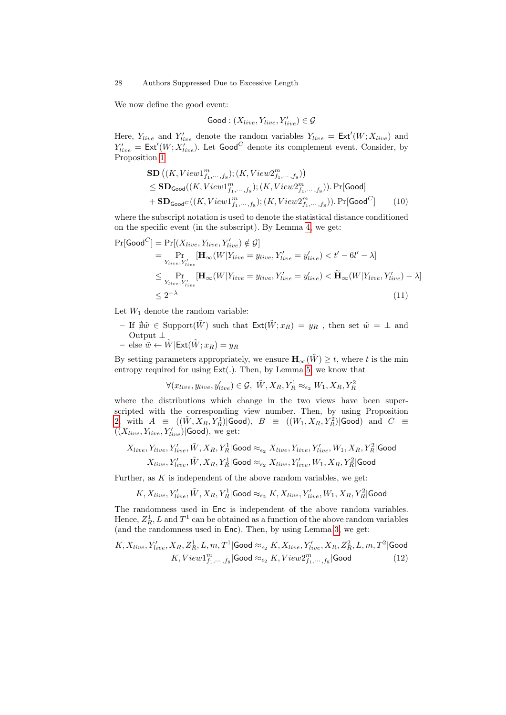We now define the good event:

<span id="page-27-2"></span>
$$
\textsf{Good}: (X_{live}, Y_{live}, Y'_{live}) \in \mathcal{G}
$$

Here,  $Y_{live}$  and  $Y'_{live}$  denote the random variables  $Y_{live} = \text{Ext}'(W; X_{live})$  and  $Y'_{live} = \text{Ext}'(W; X'_{live})$ . Let Good<sup>C</sup> denote its complement event. Consider, by Proposition [1](#page-11-2)

$$
\mathbf{SD} \left( (K, View1_{f_1, \dots, f_8}^m); (K, View2_{f_1, \dots, f_8}^m) \right)
$$
  
\n
$$
\leq \mathbf{SD}_{\mathsf{Good}}((K, View1_{f_1, \dots, f_8}^m); (K, View2_{f_1, \dots, f_8}^m)). \Pr[\mathsf{Good}]
$$
  
\n
$$
+ \mathbf{SD}_{\mathsf{Good}^C}((K, View1_{f_1, \dots, f_8}^m); (K, View2_{f_1, \dots, f_8}^m)). \Pr[\mathsf{Good}^C] \qquad (10)
$$

where the subscript notation is used to denote the statistical distance conditioned on the specific event (in the subscript). By Lemma [4,](#page-11-0) we get:

$$
\Pr[\text{Good}^C] = \Pr[(X_{live}, Y_{live}, Y'_{live}) \notin \mathcal{G}]
$$
\n
$$
= \Pr_{Y_{live}, Y'_{live}} [\mathbf{H}_{\infty}(W | Y_{live} = y_{live}, Y'_{live} = y'_{live}) < t' - 6l' - \lambda]
$$
\n
$$
\leq \Pr_{Y_{live}, Y'_{live}} [\mathbf{H}_{\infty}(W | Y_{live} = y_{live}, Y'_{live} = y'_{live}) < \widetilde{\mathbf{H}}_{\infty}(W | Y_{live}, Y'_{live}) - \lambda]
$$
\n
$$
\leq 2^{-\lambda} \tag{11}
$$

Let  $W_1$  denote the random variable:

– If  $\sharp \tilde{w}$  ∈ Support $(\tilde{W})$  such that  $\text{Ext}(\tilde{W}; x_R) = y_R$ , then set  $\tilde{w} = \bot$  and Output ⊥

- else 
$$
\tilde{w} \leftarrow \tilde{W} | \text{Ext}(\tilde{W}; x_R) = y_R
$$

By setting parameters appropriately, we ensure  $\mathbf{H}_{\infty}(\tilde{W}) \geq t$ , where t is the min entropy required for using Ext(.). Then, by Lemma [5,](#page-16-3) we know that

<span id="page-27-0"></span>
$$
\forall (x_{live},y_{live},y'_{live}) \in \mathcal{G}, \ \tilde{W}, X_R, Y_R^1 \approx_{\epsilon_2} W_1, X_R, Y_R^2
$$

where the distributions which change in the two views have been superscripted with the corresponding view number. Then, by using Proposition [2,](#page-12-0) with  $A \equiv ((\tilde{W}, X_R, Y_R^1) | \textsf{Good})$ ,  $B \equiv ((W_1, X_R, Y_R^2) | \textsf{Good})$  and  $C \equiv$  $((X_{live}, Y_{live}, Y'_{live})|$ Good), we get:

$$
X_{live}, Y_{live}, Y'_{live}, \tilde{W}, X_R, Y_R^1 | \text{Good} \approx_{\epsilon_2} X_{live}, Y_{live}, Y'_{live}, W_1, X_R, Y_R^2 | \text{Good}
$$
  

$$
X_{live}, Y'_{live}, \tilde{W}, X_R, Y_R^1 | \text{Good} \approx_{\epsilon_2} X_{live}, Y'_{live}, W_1, X_R, Y_R^2 | \text{Good}
$$

Further, as  $K$  is independent of the above random variables, we get:

<span id="page-27-1"></span>
$$
K, X_{live}, Y'_{live}, \tilde{W}, X_R, Y_R^1|\mathsf{Good} \approx_{\epsilon_2} K, X_{live}, Y'_{live}, W_1, X_R, Y_R^2|\mathsf{Good}
$$

The randomness used in Enc is independent of the above random variables. Hence,  $Z_R^1$ , L and  $T^1$  can be obtained as a function of the above random variables (and the randomness used in Enc). Then, by using Lemma [3,](#page-11-1) we get:

$$
K, X_{live}, Y'_{live}, X_R, Z_R^1, L, m, T^1 | \text{Good} \approx_{\epsilon_2} K, X_{live}, Y'_{live}, X_R, Z_R^2, L, m, T^2 | \text{Good}
$$
  

$$
K, View1_{f_1, \dots, f_8}^m | \text{Good} \approx_{\epsilon_2} K, View2_{f_1, \dots, f_8}^m | \text{Good} \tag{12}
$$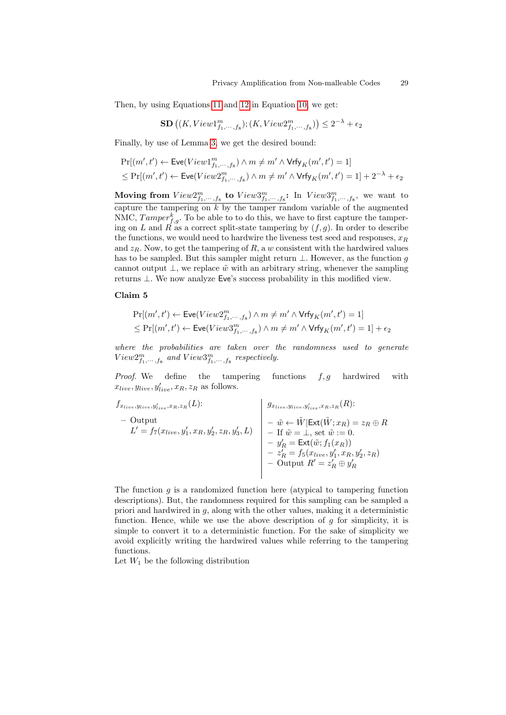Then, by using Equations [11](#page-27-0) and [12](#page-27-1) in Equation [10,](#page-27-2) we get:

$$
\mathbf{SD}\left((K,View1^m_{f_1,\cdots,f_8});(K,View2^m_{f_1,\cdots,f_8})\right) \leq 2^{-\lambda} + \epsilon_2
$$

Finally, by use of Lemma [3,](#page-11-1) we get the desired bound:

$$
\begin{aligned} &\Pr[(m',t') \leftarrow \textsf{Eve}(View1^m_{f_1,\cdots,f_8}) \wedge m \neq m' \wedge \textsf{Vrfy}_K(m',t') = 1] \\ &\leq \Pr[(m',t') \leftarrow \textsf{Eve}(View2^m_{f_1,\cdots,f_8}) \wedge m \neq m' \wedge \textsf{Vrfy}_K(m',t') = 1] + 2^{-\lambda} + \epsilon_2 \end{aligned}
$$

Moving from  $View2^m_{f_1,\dots,f_8}$  to  $View3^m_{f_1,\dots,f_8}$ : In  $View3^m_{f_1,\dots,f_8}$ , we want to capture the tampering on  $k$  by the tamper random variable of the augmented NMC,  $Tamper_{f,g}^k$ . To be able to to do this, we have to first capture the tampering on L and R as a correct split-state tampering by  $(f, g)$ . In order to describe the functions, we would need to hardwire the liveness test seed and responses,  $x_R$ and  $z_R$ . Now, to get the tampering of R, a w consistent with the hardwired values has to be sampled. But this sampler might return  $\bot$ . However, as the function g cannot output  $\perp$ , we replace  $\tilde{w}$  with an arbitrary string, whenever the sampling returns ⊥. We now analyze Eve's success probability in this modified view.

#### Claim 5

<span id="page-28-0"></span>
$$
\begin{aligned} &\Pr[(m',t') \leftarrow \textsf{Eve}(View2^m_{f_1,\cdots,f_8}) \wedge m \neq m' \wedge \textsf{Vrfy}_K(m',t') = 1] \\ &\leq \Pr[(m',t') \leftarrow \textsf{Eve}(View3^m_{f_1,\cdots,f_8}) \wedge m \neq m' \wedge \textsf{Vrfy}_K(m',t') = 1] + \epsilon_2 \end{aligned}
$$

where the probabilities are taken over the randomness used to generate  $View2^m_{f_1,\dots,f_8}$  and  $View3^m_{f_1,\dots,f_8}$  respectively.

*Proof.* We define the tampering functions  $f, g$  hardwired with  $x_{live}, y_{live}, y'_{live}, x_R, z_R$  as follows.

$$
f_{x_{live},y_{live},x_R,z_R}(L):
$$
\n- Output\n
$$
L' = f_7(x_{live}, y'_1, x_R, y'_2, z_R, y'_3, L)
$$
\n- 
$$
\begin{cases}\n g_{x_{live}, y_{live}, y'_{live}, x_R, z_R}(R): \\
 - \tilde{w} \leftarrow \tilde{W} | \text{Ext}(\tilde{W}; x_R) = z_R \oplus R \\
 - \text{If } \tilde{w} = \perp, \text{ set } \tilde{w} := 0. \\
 - y'_R = \text{Ext}(\tilde{w}; f_1(x_R)) \\
 - z'_R = f_5(x_{live}, y'_1, x_R, y'_2, z_R) \\
 - \text{Output } R' = z'_R \oplus y'_R\n\end{cases}
$$

The function  $g$  is a randomized function here (atypical to tampering function descriptions). But, the randomness required for this sampling can be sampled a priori and hardwired in  $g$ , along with the other values, making it a deterministic function. Hence, while we use the above description of  $g$  for simplicity, it is simple to convert it to a deterministic function. For the sake of simplicity we avoid explicitly writing the hardwired values while referring to the tampering functions.

Let  $W_1$  be the following distribution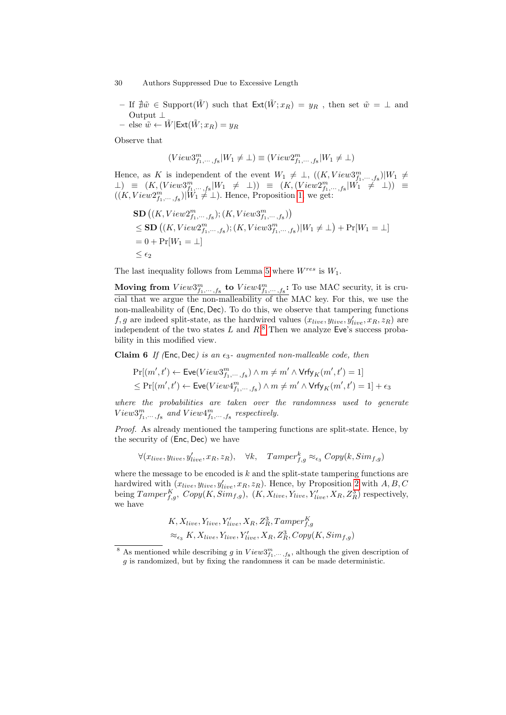- If  $#w$  ∈ Support( $\tilde{W}$ ) such that  $\text{Ext}(\tilde{W}; x_R) = y_R$ , then set  $\tilde{w} = \perp$  and Output ⊥
- else  $\tilde{w} \leftarrow \tilde{W}$ |Ext $(\tilde{W}; x_R) = y_R$

Observe that

$$
(View3^{m}_{f_1,\dots,f_8}|W_1 \neq \bot) \equiv (View2^{m}_{f_1,\dots,f_8}|W_1 \neq \bot)
$$

Hence, as K is independent of the event  $W_1 \neq \perp$ ,  $((K, View3^m_{f_1,\dots,f_8})|W_1 \neq$  $\Box$ ) =  $(K, (View3^m_{f_1,\dots,f_8}|W_1 \neq \bot))$  =  $(K, (View2^m_{f_1,\dots,f_8}|W_1 \neq \bot))$  =  $((K, View2<sub>f<sub>1</sub>,...,f<sub>8</sub></sub>)|W_1 \nleftrightarrow_{\perp}^{\infty} \bot)$ . Hence, Proposition [1,](#page-11-2) we get:

$$
\begin{aligned} &\mathbf{SD}\left((K,View2^m_{f_1,\dots,f_8});(K,View3^m_{f_1,\dots,f_8})\right)\\ &\leq \mathbf{SD}\left((K,View2^m_{f_1,\dots,f_8});(K,View3^m_{f_1,\dots,f_8})|W_1\neq\bot\right) + \Pr[W_1=\bot] \\ &= 0 + \Pr[W_1=\bot] \\ &\leq \epsilon_2 \end{aligned}
$$

The last inequality follows from Lemma [5](#page-16-3) where  $W^{res}$  is  $W_1$ .

Moving from  $View3^m_{f_1,\dots,f_8}$  to  $View4^m_{f_1,\dots,f_8}$ : To use MAC security, it is crucial that we argue the non-malleability of the MAC key. For this, we use the non-malleability of (Enc, Dec). To do this, we observe that tampering functions  $f, g$  are indeed split-state, as the hardwired values  $(x_{live}, y_{live}, y'_{live}, x_R, z_R)$  are independent of the two states  $L$  and  $R$ <sup>[8](#page-29-0)</sup>. Then we analyze Eve's success probability in this modified view.

**Claim 6** If (Enc, Dec) is an  $\epsilon_3$ - augmented non-malleable code, then

<span id="page-29-1"></span>
$$
\begin{aligned} &\Pr[(m',t') \leftarrow \textsf{Eve}(View3^m_{f_1,\cdots, f_8}) \wedge m \neq m' \wedge \textsf{Vrfy}_K(m',t') = 1] \\ &\leq \Pr[(m',t') \leftarrow \textsf{Eve}(View4^m_{f_1,\cdots, f_8}) \wedge m \neq m' \wedge \textsf{Vrfy}_K(m',t') = 1] + \epsilon_3 \end{aligned}
$$

where the probabilities are taken over the randomness used to generate  $View3_{f_1,\dots,f_8}^m$  and  $View4_{f_1,\dots,f_8}^m$  respectively.

Proof. As already mentioned the tampering functions are split-state. Hence, by the security of (Enc, Dec) we have

 $\forall (x_{live}, y_{live}, y'_{live}, x_R, z_R), \forall k, \quad Tamper^k_{f,g} \approx_{\epsilon_3} Copy(k, Sim_{f,g})$ 

where the message to be encoded is  $k$  and the split-state tampering functions are hardwired with  $(x_{live}, y_{live}, y'_{live}, x_R, z_R)$ . Hence, by Proposition [2](#page-12-0) with  $A, B, C$ being  $Tamper^K_{f,g}, Copy(K, Sim_{f,g}), (K, X_{live}, Y_{live}, Y'_{live}, X_R, Z_R^3)$  respectively, we have

$$
K, X_{live}, Y_{live}, Y'_{live}, X_R, Z_R^3, Tamper_{f,g}^{K}
$$

$$
\approx_{\epsilon_3} K, X_{live}, Y_{live}, Y'_{live}, X_R, Z_R^3, Copy(K, Sim_{f,g})
$$

<span id="page-29-0"></span><sup>&</sup>lt;sup>8</sup> As mentioned while describing g in  $View3^m_{f_1,\dots,f_8}$ , although the given description of g is randomized, but by fixing the randomness it can be made deterministic.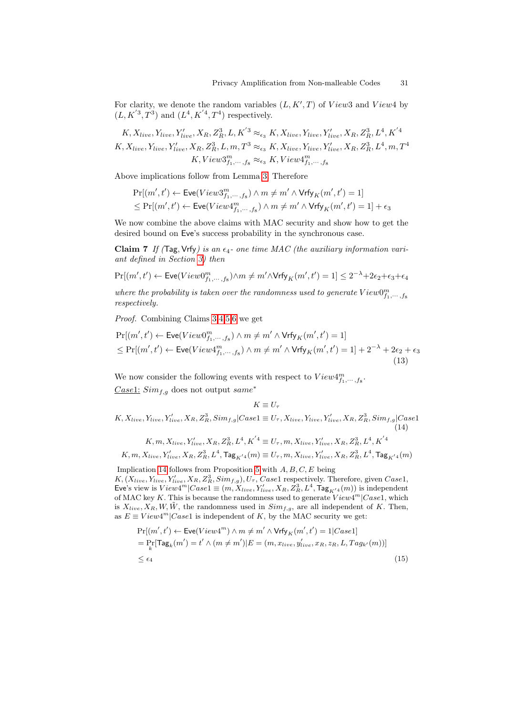For clarity, we denote the random variables  $(L, K', T)$  of  $View3$  and  $View4$  by  $(L, K^{'3}, T^3)$  and  $(L^4, K^{'4}, T^4)$  respectively.

$$
K, X_{live}, Y_{live}, Y'_{live}, X_R, Z_R^3, L, K^{'3} \approx_{\epsilon_3} K, X_{live}, Y_{live}, Y'_{live}, X_R, Z_R^3, L^4, K^{'4}
$$
  

$$
K, X_{live}, Y_{live}, Y'_{live}, X_R, Z_R^3, L, m, T^3 \approx_{\epsilon_3} K, X_{live}, Y_{live}, Y'_{live}, X_R, Z_R^3, L^4, m, T^4
$$
  

$$
K, View3_{f_1, \dots, f_8}^m \approx_{\epsilon_3} K, View4_{f_1, \dots, f_8}^m
$$

Above implications follow from Lemma [3.](#page-11-1) Therefore

$$
\begin{aligned} &\Pr[(m',t') \leftarrow \textsf{Eve}(View3^m_{f_1,\cdots, f_8}) \wedge m \neq m' \wedge \textsf{Vrfy}_K(m',t') = 1] \\ &\leq \Pr[(m',t') \leftarrow \textsf{Eve}(View4^m_{f_1,\cdots, f_8}) \wedge m \neq m' \wedge \textsf{Vrfy}_K(m',t') = 1] + \epsilon_3 \end{aligned}
$$

We now combine the above claims with MAC security and show how to get the desired bound on Eve's success probability in the synchronous case.

<span id="page-30-3"></span>Claim 7 If (Tag, Vrfy) is an  $\epsilon_4$ - one time MAC (the auxiliary information variant defined in Section [3\)](#page-14-0) then

$$
\Pr[(m',t') \gets \textsf{Eve}(View0^m_{f_1,\cdots,f_8}) \land m \neq m' \land \textsf{Vrfy}_K(m',t') = 1] \leq 2^{-\lambda} + 2\epsilon_2 + \epsilon_3 + \epsilon_4
$$

where the probability is taken over the randomness used to generate  $View0^m_{f_1,\dots,f_8}$ respectively.

Proof. Combining Claims [3,](#page-25-1)[4,](#page-26-0)[5](#page-28-0)[,6](#page-29-1) we get

$$
\Pr[(m',t') \leftarrow \text{Eve}(View0^m_{f_1,\dots,f_8}) \land m \neq m' \land \text{Vrfy}_K(m',t') = 1] \\
\leq \Pr[(m',t') \leftarrow \text{Eve}(View4^m_{f_1,\dots,f_8}) \land m \neq m' \land \text{Vrfy}_K(m',t') = 1] + 2^{-\lambda} + 2\epsilon_2 + \epsilon_3 \\
\leq \Pr[(m',t') \leftarrow \text{Eve}(View4^m_{f_1,\dots,f_8}) \land m \neq m' \land \text{Vrfy}_K(m',t') = 1] + 2^{-\lambda} + 2\epsilon_2 + \epsilon_3\n\tag{13}
$$

We now consider the following events with respect to  $View_{f_1,\dots,f_8}^m$ . Case1:  $Sim_{f,g}$  does not output same<sup>\*</sup>

$$
K \equiv U_{\tau}
$$
  

$$
K, X_{live}, Y_{live}, Y'_{live}, X_R, Z_R^3, Sim_{f,g}|Case1 \equiv U_{\tau}, X_{live}, Y_{live}, Y'_{live}, X_R, Z_R^3, Sim_{f,g}|Case1
$$
\n(14)

<span id="page-30-0"></span>
$$
K, m, X_{live}, Y'_{live}, X_R, Z_R^3, L^4, K^{'4} \equiv U_{\tau}, m, X_{live}, Y'_{live}, X_R, Z_R^3, L^4, K^{'4}
$$
  

$$
K, m, X_{live}, Y'_{live}, X_R, Z_R^3, L^4, \mathsf{Tag}_{K^{'4}}(m) \equiv U_{\tau}, m, X_{live}, Y'_{live}, X_R, Z_R^3, L^4, \mathsf{Tag}_{K^{'4}}(m)
$$

Implication [14](#page-30-0) follows from Proposition [5](#page-13-0) with  $A, B, C, E$  being  $K, (X_{live}, Y_{live}, Y'_{live}, X_R, Z_R^3, Sim_{f,g}), U_{\tau}, Case 1$  respectively. Therefore, given  $Case 1$ , Eve's view is  $View4^m|Case1 \equiv (m, X_{live}, Y'_{live}, X_R, Z_R^3, L^4, \textsf{Tag}_{K^{'4}}(m))$  is independent of MAC key K. This is because the randomness used to generate  $View4<sup>m</sup>|Case1$ , which is  $X_{live}, X_R, W, \tilde{W}$ , the randomness used in  $Sim_{f,g}$ , are all independent of K. Then, as  $E \equiv View4^{m} | Case1$  is independent of K, by the MAC security we get:

<span id="page-30-1"></span>
$$
\Pr[(m', t') \leftarrow \text{Eve}(View4^m) \land m \neq m' \land \text{Vrfy}_K(m', t') = 1|Case1]
$$
\n
$$
= \Pr_k[\text{Tag}_k(m') = t' \land (m \neq m') | E = (m, x_{live}, y'_{live}, x_R, z_R, L, Tag_{k'}(m))]
$$
\n
$$
\leq \epsilon_4
$$
\n(15)

<span id="page-30-2"></span>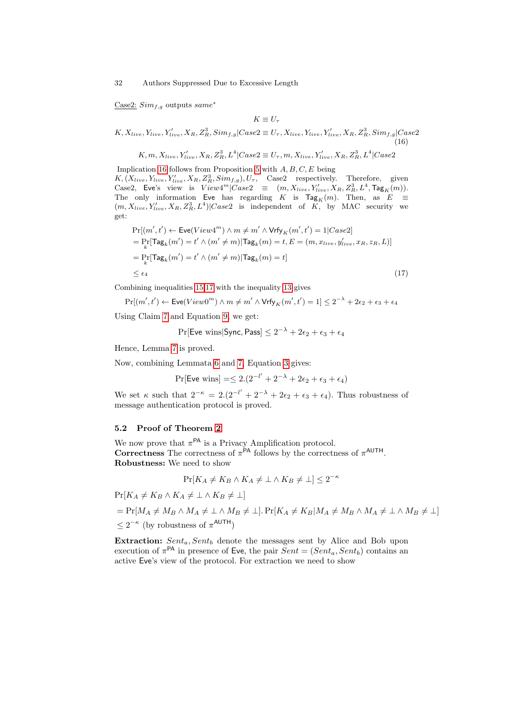$\underline{\text{Case2:}}$   $Sim_{f,g}$  outputs  $same^*$ 

<span id="page-31-1"></span><span id="page-31-0"></span> $K \equiv U_{\tau}$ 

$$
K, X_{live}, Y_{live}, Y'_{live}, X_R, Z_R^3, Sim_{f,g}|Case2 \equiv U_{\tau}, X_{live}, Y_{live}, Y'_{live}, X_R, Z_R^3, Sim_{f,g}|Case2
$$
\n(16)

$$
K, m, X_{live}, Y'_{live}, X_R, Z_R^3, L^4 | Case 2 \equiv U_{\tau}, m, X_{live}, Y'_{live}, X_R, Z_R^3, L^4 | Case 2
$$

Implication [16](#page-31-0) follows from Proposition [5](#page-13-0) with  $A, B, C, E$  being  $K, (X_{live}, Y_{live}, Y'_{live}, X_R, Z_R^3, Sim_{f,g}), U_\tau, \quad \text{Case2}$  respectively. Therefore, given Case2, Eve's view is  $View4^m|Case2 \equiv (m, X_{live}, Y'_{live}, X_R, Z_R^3, L^4, \text{Tag}_K(m)).$ The only information Eve has regarding K is  $\text{Tag}_K(m)$ . Then, as  $E \equiv$  $(m, X_{live}, Y'_{live}, X_R, Z_R^3, L^4)|Case2$  is independent of K, by MAC security we get:

$$
\Pr[(m', t') \leftarrow \text{Eve}(View4^m) \land m \neq m' \land \text{Vrfy}_K(m', t') = 1 | Case2]
$$
\n
$$
= \Pr_k[\text{Tag}_k(m') = t' \land (m' \neq m) | \text{Tag}_k(m) = t, E = (m, x_{live}, y'_{live}, x_R, z_R, L)]
$$
\n
$$
= \Pr_k[\text{Tag}_k(m') = t' \land (m' \neq m) | \text{Tag}_k(m) = t]
$$
\n
$$
\leq \epsilon_4
$$
\n(17)

Combining inequalities [15,](#page-30-1)[17](#page-31-1) with the inequality [13](#page-30-2) gives

$$
\Pr[(m',t') \leftarrow \text{Eve}(View0^m) \land m \neq m' \land \text{Vrfy}_K(m',t') = 1] \le 2^{-\lambda} + 2\epsilon_2 + \epsilon_3 + \epsilon_4
$$

Using Claim [7](#page-30-3) and Equation [9,](#page-24-0) we get:

$$
\Pr[\mathsf{Eve\ wins}|\mathsf{Sync},\mathsf{Pass}] \le 2^{-\lambda} + 2\epsilon_2 + \epsilon_3 + \epsilon_4
$$

Hence, Lemma [7](#page-23-0) is proved.

Now, combining Lemmata [6](#page-16-2) and [7,](#page-23-0) Equation [3](#page-19-1) gives:

$$
Pr[{\sf Eve wins}] = \leq 2.(2^{-l'} + 2^{-\lambda} + 2\epsilon_2 + \epsilon_3 + \epsilon_4)
$$

We set  $\kappa$  such that  $2^{-\kappa} = 2(2^{-l'} + 2^{-\lambda} + 2\epsilon_2 + \epsilon_3 + \epsilon_4)$ . Thus robustness of message authentication protocol is proved.

### <span id="page-31-2"></span>5.2 Proof of Theorem [2](#page-18-2)

We now prove that  $\pi$ <sup>PA</sup> is a Privacy Amplification protocol. Correctness The correctness of  $\pi$ <sup>PA</sup> follows by the correctness of  $\pi$ <sup>AUTH</sup>. Robustness: We need to show

$$
\Pr[K_A \neq K_B \land K_A \neq \bot \land K_B \neq \bot] \leq 2^{-\kappa}
$$

 $Pr[K_A \neq K_B \wedge K_A \neq \bot \wedge K_B \neq \bot]$ 

 $= Pr[M_A \neq M_B \wedge M_A \neq \bot \wedge M_B \neq \bot]. Pr[K_A \neq K_B|M_A \neq M_B \wedge M_A \neq \bot \wedge M_B \neq \bot]$  $≤ 2^{-κ}$  (by robustness of  $π^{\text{AUTH}}$ )

Extraction:  $Sent_a, Sent_b$  denote the messages sent by Alice and Bob upon execution of  $\pi^{\text{PA}}$  in presence of Eve, the pair  $Sent = (Sent_a, Sent_b)$  contains an active Eve's view of the protocol. For extraction we need to show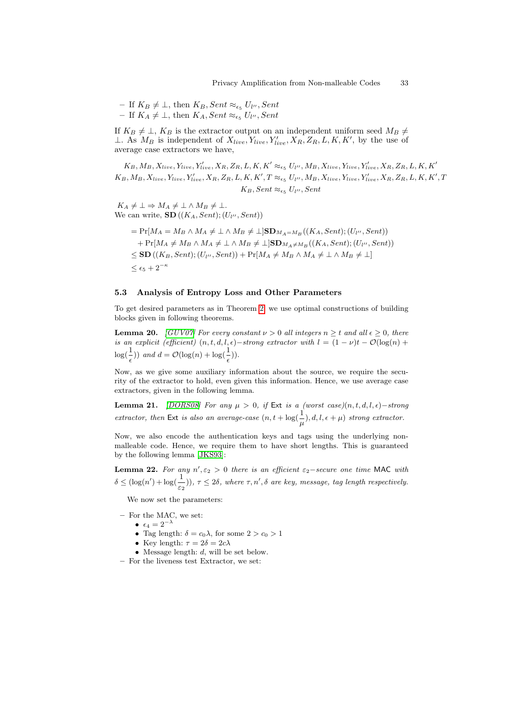$-$  If  $K_B \neq \bot$ , then  $K_B$ , Sent ≈<sub> $\epsilon_5$ </sub>  $U_{l}$ <sup>u</sup>, Sent  $-$  If  $K_A \neq \bot$ , then  $K_A$ , Sent ≈<sub> $\epsilon_5$ </sub>  $U_{l}$ <sup>u</sup>, Sent

If  $K_B \neq \bot$ ,  $K_B$  is the extractor output on an independent uniform seed  $M_B \neq$ ⊥. As  $M_B$  is independent of  $X_{live}, Y_{live}, Y'_{live}, X_R, Z_R, L, K, K'$ , by the use of average case extractors we have,

 $(K_B,M_B,X_{live},Y_{live},Y_{live}',X_R,Z_R,L,K,K' \approx_{\epsilon_5} U_{l''},M_B,X_{live},Y_{live},Y_{live}',X_R,Z_R,L,K,K'$  $K_B, M_B, X_{live}, Y_{live}, Y'_{live}, X_R, Z_R, L, K, K', T \approx_{\epsilon_5} U_{l''}, M_B, X_{live}, Y_{live}, Y'_{live}, X_R, Z_R, L, K, K', T$  $K_B$ , Sent  $\approx_{\epsilon_5} U_{l''}$ , Sent

 $K_A \neq \bot \Rightarrow M_A \neq \bot \wedge M_B \neq \bot.$ We can write,  $\textbf{SD}((K_A, Sent);(U_{l''},Sent))$ 

$$
= \Pr[M_A = M_B \land M_A \neq \bot \land M_B \neq \bot] \mathbf{SD}_{M_A=M_B}((K_A, Sent); (U_{l''}, Sent))
$$
  
+ 
$$
\Pr[M_A \neq M_B \land M_A \neq \bot \land M_B \neq \bot] \mathbf{SD}_{M_A \neq M_B}((K_A, Sent); (U_{l''}, Sent))
$$
  

$$
\leq \mathbf{SD}((K_B, Sent); (U_{l''}, Sent)) + \Pr[M_A \neq M_B \land M_A \neq \bot \land M_B \neq \bot]
$$
  

$$
\leq \epsilon_5 + 2^{-\kappa}
$$

#### <span id="page-32-0"></span>5.3 Analysis of Entropy Loss and Other Parameters

To get desired parameters as in Theorem [2,](#page-18-2) we use optimal constructions of building blocks given in following theorems.

**Lemma 20.** [\[GUV07\]](#page-35-11) For every constant  $\nu > 0$  all integers  $n \geq t$  and all  $\epsilon \geq 0$ , there is an explicit (efficient)  $(n, t, d, l, \epsilon)$  -strong extractor with  $l = (1 - \nu)t - \mathcal{O}(\log(n))$  $\log(\frac{1}{\epsilon}))$  and  $d = \mathcal{O}(\log(n) + \log(\frac{1}{\epsilon}))$ .

Now, as we give some auxiliary information about the source, we require the security of the extractor to hold, even given this information. Hence, we use average case extractors, given in the following lemma.

Lemma 21. [\[DORS08\]](#page-35-10) For any  $\mu > 0$ , if Ext is a (worst case)(n, t, d, l,  $\epsilon$ ) – strong extractor, then Ext is also an average-case  $(n, t + \log(\frac{1}{\mu}), d, l, \epsilon + \mu)$  strong extractor.

Now, we also encode the authentication keys and tags using the underlying nonmalleable code. Hence, we require them to have short lengths. This is guaranteed by the following lemma [\[JKS93\]](#page-35-12):

**Lemma 22.** For any  $n', \varepsilon_2 > 0$  there is an efficient  $\varepsilon_2$ -secure one time MAC with  $\delta \leq (\log(n') + \log(\frac{1}{\varepsilon_2}))$ ,  $\tau \leq 2\delta$ , where  $\tau$ ,  $n'$ ,  $\delta$  are key, message, tag length respectively.

We now set the parameters:

- For the MAC, we set:
	- $\epsilon_4 = 2^{-\lambda}$
	- Tag length:  $\delta = c_0 \lambda$ , for some  $2 > c_0 > 1$
	- Key length:  $\tau = 2\delta = 2c\lambda$
	- Message length:  $d$ , will be set below.
- For the liveness test Extractor, we set: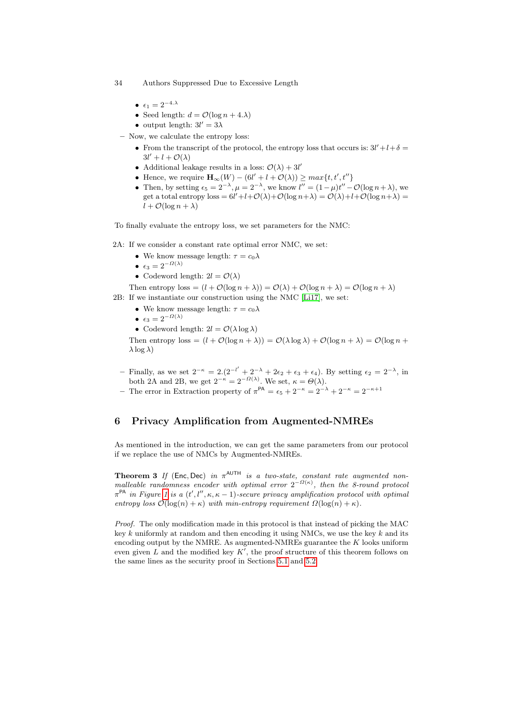- 34 Authors Suppressed Due to Excessive Length
	- $\epsilon_1 = 2^{-4. \lambda}$
	- Seed length:  $d = \mathcal{O}(\log n + 4.\lambda)$
	- output length:  $3l' = 3\lambda$
	- Now, we calculate the entropy loss:
		- From the transcript of the protocol, the entropy loss that occurs is:  $3l' + l + \delta =$  $3l' + l + \mathcal{O}(\lambda)$
		- Additional leakage results in a loss:  $\mathcal{O}(\lambda) + 3l'$
		- Hence, we require  $\mathbf{H}_{\infty}(W) (6l' + l + \mathcal{O}(\lambda)) \geq max\{t, t', t''\}$
		- Then, by setting  $\epsilon_5 = 2^{-\lambda}$ ,  $\mu = 2^{-\lambda}$ , we know  $l'' = (1 \mu)t'' \mathcal{O}(\log n + \lambda)$ , we get a total entropy  $\text{loss} = 6l' + l + \mathcal{O}(\lambda) + \mathcal{O}(\log n + \lambda) = \mathcal{O}(\lambda) + l + \mathcal{O}(\log n + \lambda) =$  $l + \mathcal{O}(\log n + \lambda)$

To finally evaluate the entropy loss, we set parameters for the NMC:

2A: If we consider a constant rate optimal error NMC, we set:

- We know message length:  $\tau = c_0 \lambda$
- $\epsilon_3 = 2^{-\Omega(\lambda)}$
- Codeword length:  $2l = \mathcal{O}(\lambda)$

Then entropy  $\text{loss} = (l + \mathcal{O}(\log n + \lambda)) = \mathcal{O}(\lambda) + \mathcal{O}(\log n + \lambda) = \mathcal{O}(\log n + \lambda)$ 2B: If we instantiate our construction using the NMC [\[Li17\]](#page-36-1), we set:

- We know message length:  $\tau = c_0 \lambda$
- $\epsilon_3 = 2^{-\Omega(\lambda)}$
- Codeword length:  $2l = \mathcal{O}(\lambda \log \lambda)$

Then entropy  $\text{loss} = (l + \mathcal{O}(\log n + \lambda)) = \mathcal{O}(\lambda \log \lambda) + \mathcal{O}(\log n + \lambda) = \mathcal{O}(\log n + \lambda)$  $\lambda$  log  $\lambda$ )

- Finally, as we set  $2^{-\kappa} = 2 \cdot (2^{-l'} + 2^{-\lambda} + 2\epsilon_2 + \epsilon_3 + \epsilon_4)$ . By setting  $\epsilon_2 = 2^{-\lambda}$ , in both 2A and 2B, we get  $2^{-\kappa} = 2^{-\Omega(\lambda)}$ . We set,  $\kappa = \Theta(\lambda)$ .
- The error in Extraction property of  $\pi^{PA} = \epsilon_5 + 2^{-\kappa} = 2^{-\lambda} + 2^{-\kappa} = 2^{-\kappa+1}$

# <span id="page-33-0"></span>6 Privacy Amplification from Augmented-NMREs

As mentioned in the introduction, we can get the same parameters from our protocol if we replace the use of NMCs by Augmented-NMREs.

**Theorem 3** If (Enc, Dec) in  $\pi^{\text{AUTH}}$  is a two-state, constant rate augmented nonmalleable randomness encoder with optimal error  $2^{-\Omega(\kappa)}$ , then the 8-round protocol  $\pi^{\mathsf{PA}}$  in Figure [1](#page-18-0) is a  $(t', l'', \kappa, \kappa - 1)$ -secure privacy amplification protocol with optimal entropy loss  $\mathcal{O}(\log(n) + \kappa)$  with min-entropy requirement  $\Omega(\log(n) + \kappa)$ .

Proof. The only modification made in this protocol is that instead of picking the MAC key  $k$  uniformly at random and then encoding it using NMCs, we use the key  $k$  and its encoding output by the NMRE. As augmented-NMREs guarantee the  $K$  looks uniform even given  $L$  and the modified key  $K'$ , the proof structure of this theorem follows on the same lines as the security proof in Sections [5.1](#page-19-2) and [5.2.](#page-31-2)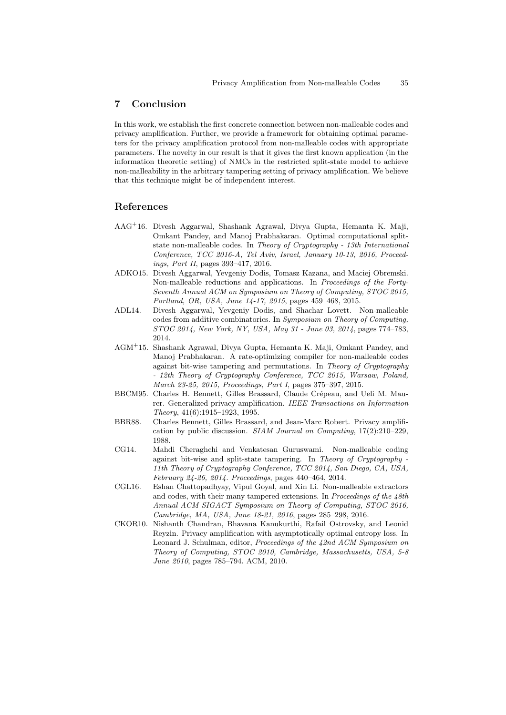## 7 Conclusion

In this work, we establish the first concrete connection between non-malleable codes and privacy amplification. Further, we provide a framework for obtaining optimal parameters for the privacy amplification protocol from non-malleable codes with appropriate parameters. The novelty in our result is that it gives the first known application (in the information theoretic setting) of NMCs in the restricted split-state model to achieve non-malleability in the arbitrary tampering setting of privacy amplification. We believe that this technique might be of independent interest.

# References

- <span id="page-34-8"></span>AAG<sup>+</sup>16. Divesh Aggarwal, Shashank Agrawal, Divya Gupta, Hemanta K. Maji, Omkant Pandey, and Manoj Prabhakaran. Optimal computational splitstate non-malleable codes. In Theory of Cryptography - 13th International Conference, TCC 2016-A, Tel Aviv, Israel, January 10-13, 2016, Proceedings, Part II, pages 393–417, 2016.
- <span id="page-34-6"></span>ADKO15. Divesh Aggarwal, Yevgeniy Dodis, Tomasz Kazana, and Maciej Obremski. Non-malleable reductions and applications. In Proceedings of the Forty-Seventh Annual ACM on Symposium on Theory of Computing, STOC 2015, Portland, OR, USA, June 14-17, 2015, pages 459–468, 2015.
- <span id="page-34-5"></span>ADL14. Divesh Aggarwal, Yevgeniy Dodis, and Shachar Lovett. Non-malleable codes from additive combinatorics. In Symposium on Theory of Computing, STOC 2014, New York, NY, USA, May 31 - June 03, 2014, pages 774–783, 2014.
- <span id="page-34-7"></span>AGM<sup>+</sup>15. Shashank Agrawal, Divya Gupta, Hemanta K. Maji, Omkant Pandey, and Manoj Prabhakaran. A rate-optimizing compiler for non-malleable codes against bit-wise tampering and permutations. In Theory of Cryptography - 12th Theory of Cryptography Conference, TCC 2015, Warsaw, Poland, March 23-25, 2015, Proceedings, Part I, pages 375–397, 2015.
- <span id="page-34-1"></span>BBCM95. Charles H. Bennett, Gilles Brassard, Claude Crépeau, and Ueli M. Maurer. Generalized privacy amplification. IEEE Transactions on Information Theory, 41(6):1915–1923, 1995.
- <span id="page-34-0"></span>BBR88. Charles Bennett, Gilles Brassard, and Jean-Marc Robert. Privacy amplification by public discussion. SIAM Journal on Computing, 17(2):210–229, 1988.
- <span id="page-34-4"></span>CG14. Mahdi Cheraghchi and Venkatesan Guruswami. Non-malleable coding against bit-wise and split-state tampering. In Theory of Cryptography - 11th Theory of Cryptography Conference, TCC 2014, San Diego, CA, USA, February 24-26, 2014. Proceedings, pages 440–464, 2014.
- <span id="page-34-3"></span>CGL16. Eshan Chattopadhyay, Vipul Goyal, and Xin Li. Non-malleable extractors and codes, with their many tampered extensions. In Proceedings of the 48th Annual ACM SIGACT Symposium on Theory of Computing, STOC 2016, Cambridge, MA, USA, June 18-21, 2016, pages 285–298, 2016.
- <span id="page-34-2"></span>CKOR10. Nishanth Chandran, Bhavana Kanukurthi, Rafail Ostrovsky, and Leonid Reyzin. Privacy amplification with asymptotically optimal entropy loss. In Leonard J. Schulman, editor, Proceedings of the 42nd ACM Symposium on Theory of Computing, STOC 2010, Cambridge, Massachusetts, USA, 5-8 June 2010, pages 785–794. ACM, 2010.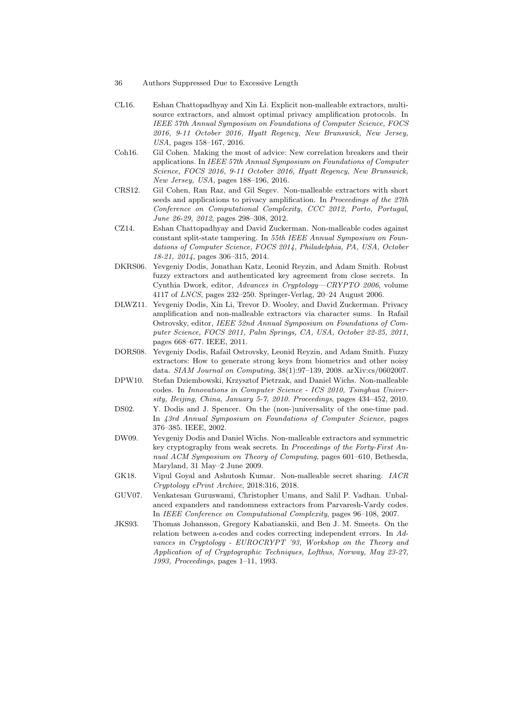- 36 Authors Suppressed Due to Excessive Length
- <span id="page-35-6"></span>CL16. Eshan Chattopadhyay and Xin Li. Explicit non-malleable extractors, multisource extractors, and almost optimal privacy amplification protocols. In IEEE 57th Annual Symposium on Foundations of Computer Science, FOCS 2016, 9-11 October 2016, Hyatt Regency, New Brunswick, New Jersey, USA, pages 158–167, 2016.
- <span id="page-35-7"></span>Coh16. Gil Cohen. Making the most of advice: New correlation breakers and their applications. In IEEE 57th Annual Symposium on Foundations of Computer Science, FOCS 2016, 9-11 October 2016, Hyatt Regency, New Brunswick, New Jersey, USA, pages 188–196, 2016.
- <span id="page-35-5"></span>CRS12. Gil Cohen, Ran Raz, and Gil Segev. Non-malleable extractors with short seeds and applications to privacy amplification. In Proceedings of the 27th Conference on Computational Complexity, CCC 2012, Porto, Portugal, June 26-29, 2012, pages 298–308, 2012.
- <span id="page-35-8"></span>CZ14. Eshan Chattopadhyay and David Zuckerman. Non-malleable codes against constant split-state tampering. In 55th IEEE Annual Symposium on Foundations of Computer Science, FOCS 2014, Philadelphia, PA, USA, October 18-21, 2014, pages 306–315, 2014.
- <span id="page-35-1"></span>DKRS06. Yevgeniy Dodis, Jonathan Katz, Leonid Reyzin, and Adam Smith. Robust fuzzy extractors and authenticated key agreement from close secrets. In Cynthia Dwork, editor, Advances in Cryptology—CRYPTO 2006, volume 4117 of LNCS, pages 232–250. Springer-Verlag, 20–24 August 2006.
- <span id="page-35-4"></span>DLWZ11. Yevgeniy Dodis, Xin Li, Trevor D. Wooley, and David Zuckerman. Privacy amplification and non-malleable extractors via character sums. In Rafail Ostrovsky, editor, IEEE 52nd Annual Symposium on Foundations of Computer Science, FOCS 2011, Palm Springs, CA, USA, October 22-25, 2011, pages 668–677. IEEE, 2011.
- <span id="page-35-10"></span>DORS08. Yevgeniy Dodis, Rafail Ostrovsky, Leonid Reyzin, and Adam Smith. Fuzzy extractors: How to generate strong keys from biometrics and other noisy data. SIAM Journal on Computing, 38(1):97–139, 2008. arXiv:cs/0602007.
- <span id="page-35-0"></span>DPW10. Stefan Dziembowski, Krzysztof Pietrzak, and Daniel Wichs. Non-malleable codes. In Innovations in Computer Science - ICS 2010, Tsinghua University, Beijing, China, January 5-7, 2010. Proceedings, pages 434–452, 2010.
- <span id="page-35-2"></span>DS02. Y. Dodis and J. Spencer. On the (non-)universality of the one-time pad. In 43rd Annual Symposium on Foundations of Computer Science, pages 376–385. IEEE, 2002.
- <span id="page-35-3"></span>DW09. Yevgeniy Dodis and Daniel Wichs. Non-malleable extractors and symmetric key cryptography from weak secrets. In Proceedings of the Forty-First Annual ACM Symposium on Theory of Computing, pages 601–610, Bethesda, Maryland, 31 May–2 June 2009.
- <span id="page-35-9"></span>GK18. Vipul Goyal and Ashutosh Kumar. Non-malleable secret sharing. IACR Cryptology ePrint Archive, 2018:316, 2018.
- <span id="page-35-11"></span>GUV07. Venkatesan Guruswami, Christopher Umans, and Salil P. Vadhan. Unbalanced expanders and randomness extractors from Parvaresh-Vardy codes. In IEEE Conference on Computational Complexity, pages 96–108, 2007.
- <span id="page-35-12"></span>JKS93. Thomas Johansson, Gregory Kabatianskii, and Ben J. M. Smeets. On the relation between a-codes and codes correcting independent errors. In Advances in Cryptology - EUROCRYPT '93, Workshop on the Theory and Application of of Cryptographic Techniques, Lofthus, Norway, May 23-27, 1993, Proceedings, pages 1–11, 1993.